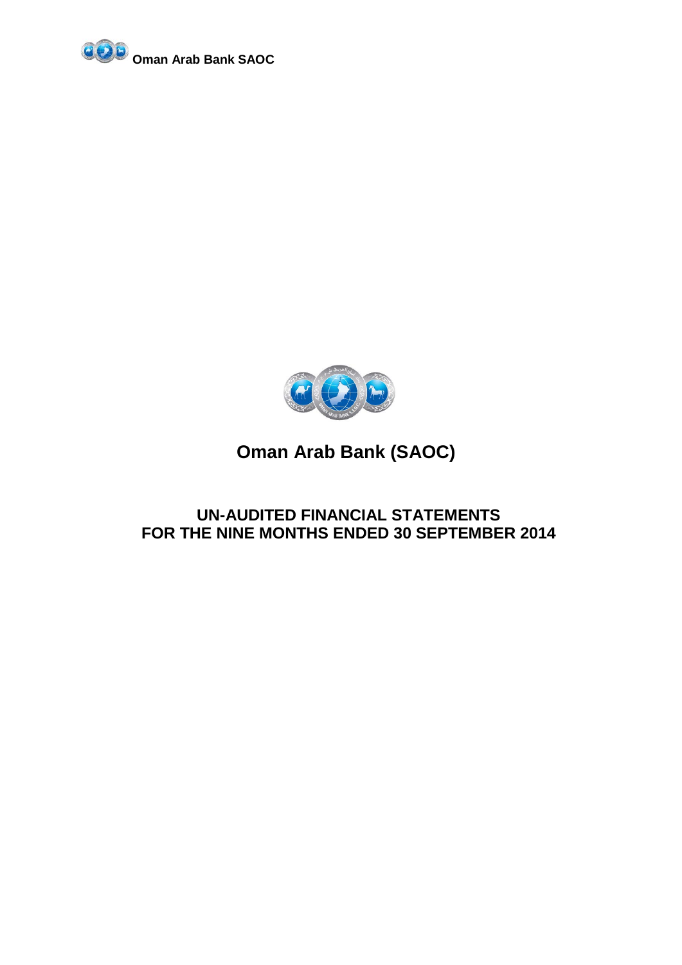



### **UN-AUDITED FINANCIAL STATEMENTS FOR THE NINE MONTHS ENDED 30 SEPTEMBER 2014**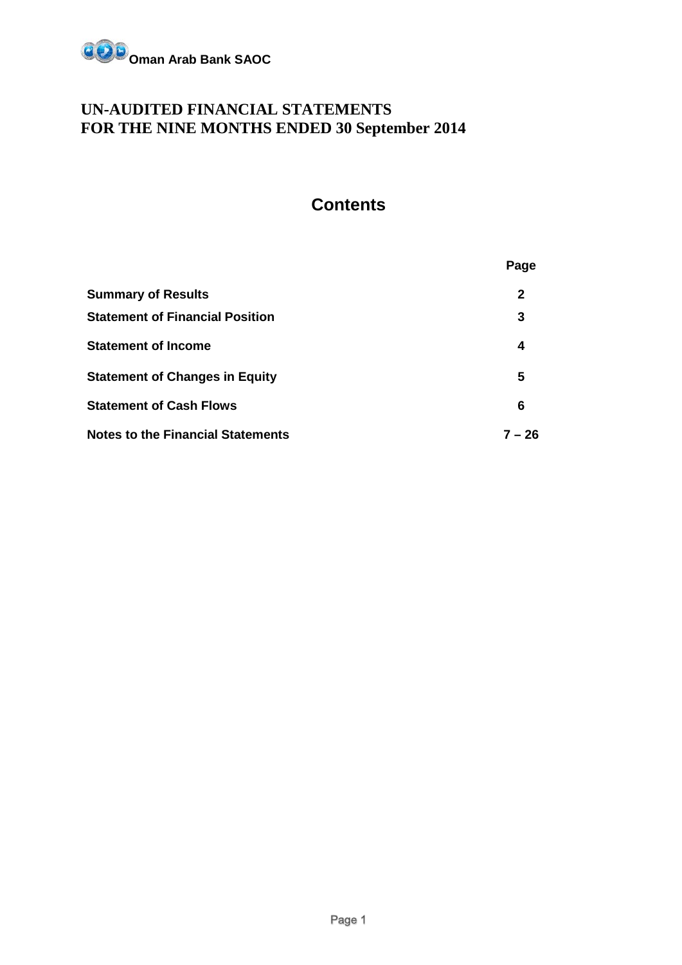

### **UN-AUDITED FINANCIAL STATEMENTS FOR THE NINE MONTHS ENDED 30 September 2014**

### **Contents**

|                                          | Page     |
|------------------------------------------|----------|
| <b>Summary of Results</b>                | 2        |
| <b>Statement of Financial Position</b>   | 3        |
| <b>Statement of Income</b>               | 4        |
| <b>Statement of Changes in Equity</b>    | 5        |
| <b>Statement of Cash Flows</b>           | 6        |
| <b>Notes to the Financial Statements</b> | $7 - 26$ |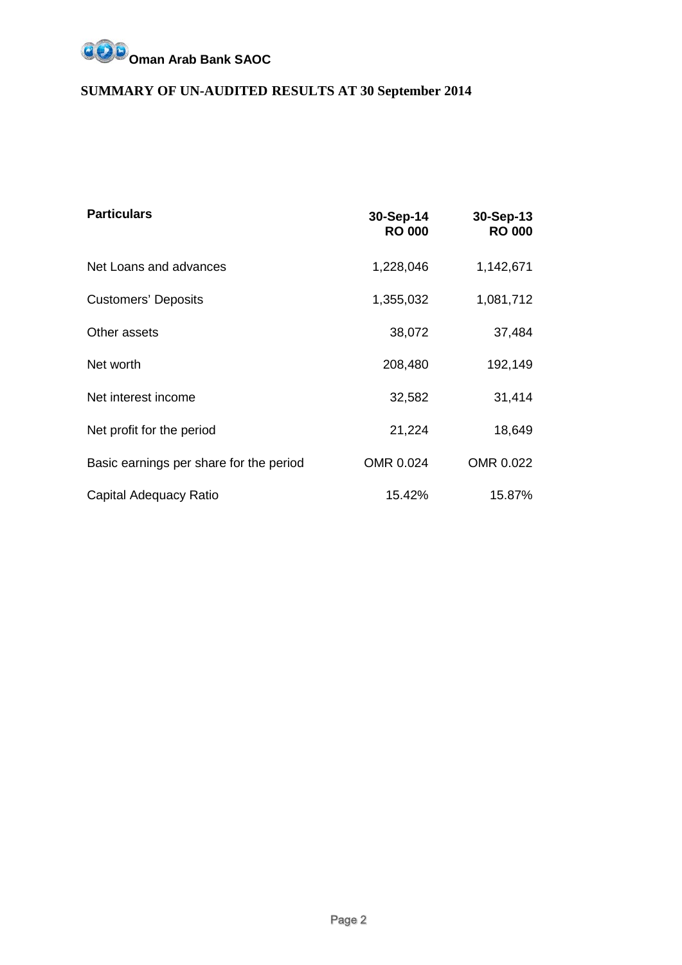

### **SUMMARY OF UN-AUDITED RESULTS AT 30 September 2014**

| <b>Particulars</b>                      | 30-Sep-14<br><b>RO 000</b> | 30-Sep-13<br><b>RO 000</b> |
|-----------------------------------------|----------------------------|----------------------------|
| Net Loans and advances                  | 1,228,046                  | 1,142,671                  |
| <b>Customers' Deposits</b>              | 1,355,032                  | 1,081,712                  |
| Other assets                            | 38,072                     | 37,484                     |
| Net worth                               | 208,480                    | 192,149                    |
| Net interest income                     | 32,582                     | 31,414                     |
| Net profit for the period               | 21,224                     | 18,649                     |
| Basic earnings per share for the period | OMR 0.024                  | OMR 0.022                  |
| Capital Adequacy Ratio                  | 15.42%                     | 15.87%                     |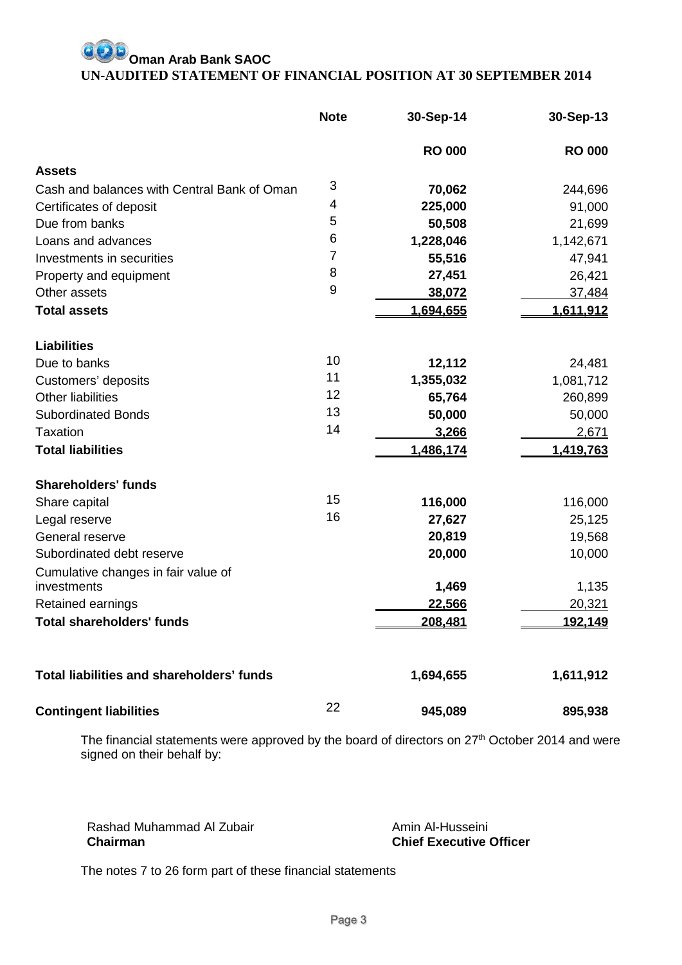### **Oman Arab Bank SAOC UN-AUDITED STATEMENT OF FINANCIAL POSITION AT 30 SEPTEMBER 2014**

|                                                  | <b>Note</b> | 30-Sep-14     | 30-Sep-13     |
|--------------------------------------------------|-------------|---------------|---------------|
|                                                  |             | <b>RO 000</b> | <b>RO 000</b> |
| <b>Assets</b>                                    |             |               |               |
| Cash and balances with Central Bank of Oman      | 3           | 70,062        | 244,696       |
| Certificates of deposit                          | 4           | 225,000       | 91,000        |
| Due from banks                                   | 5           | 50,508        | 21,699        |
| Loans and advances                               | 6           | 1,228,046     | 1,142,671     |
| Investments in securities                        | 7           | 55,516        | 47,941        |
| Property and equipment                           | 8           | 27,451        | 26,421        |
| Other assets                                     | 9           | 38,072        | 37,484        |
| <b>Total assets</b>                              |             | 1,694,655     | 1,611,912     |
| <b>Liabilities</b>                               |             |               |               |
| Due to banks                                     | 10          | 12,112        | 24,481        |
| Customers' deposits                              | 11          | 1,355,032     | 1,081,712     |
| <b>Other liabilities</b>                         | 12          | 65,764        | 260,899       |
| <b>Subordinated Bonds</b>                        | 13          | 50,000        | 50,000        |
| <b>Taxation</b>                                  | 14          | 3,266         | 2,671         |
| <b>Total liabilities</b>                         |             | 1,486,174     | 1,419,763     |
| <b>Shareholders' funds</b>                       |             |               |               |
| Share capital                                    | 15          | 116,000       | 116,000       |
| Legal reserve                                    | 16          | 27,627        | 25,125        |
| General reserve                                  |             | 20,819        | 19,568        |
| Subordinated debt reserve                        |             | 20,000        | 10,000        |
| Cumulative changes in fair value of              |             |               |               |
| investments                                      |             | 1,469         | 1,135         |
| Retained earnings                                |             | 22,566        | 20,321        |
| <b>Total shareholders' funds</b>                 |             | 208,481       | 192,149       |
| <b>Total liabilities and shareholders' funds</b> |             | 1,694,655     | 1,611,912     |
| <b>Contingent liabilities</b>                    | 22          | 945,089       | 895,938       |

The financial statements were approved by the board of directors on 27<sup>th</sup> October 2014 and were signed on their behalf by:

Rashad Muhammad Al Zubair **Chairman**

Amin Al-Husseini **Chief Executive Officer**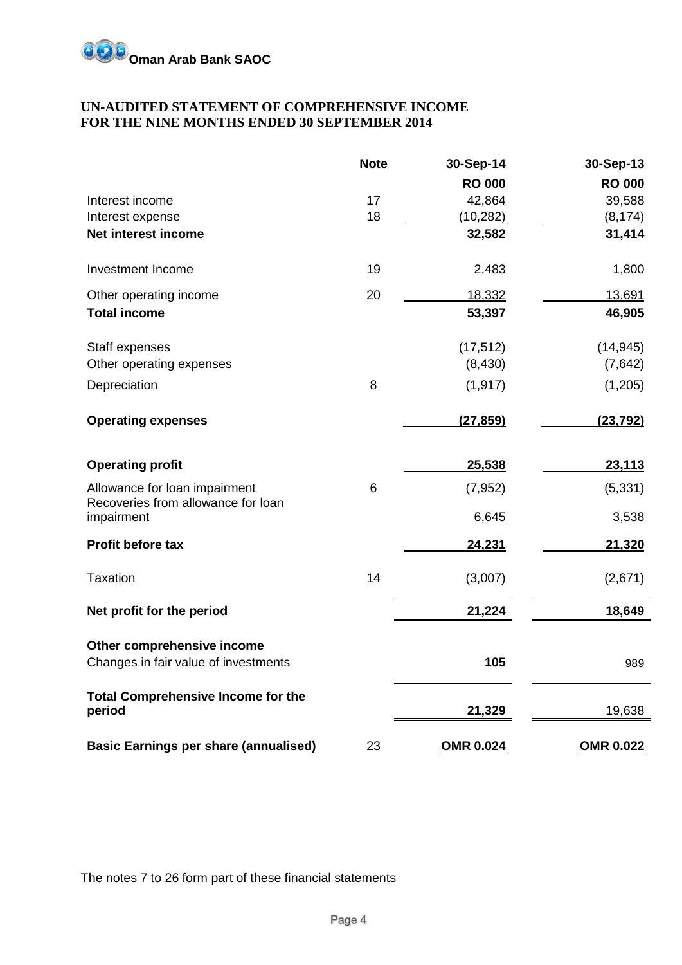

#### **UN-AUDITED STATEMENT OF COMPREHENSIVE INCOME FOR THE NINE MONTHS ENDED 30 SEPTEMBER 2014**

|                                                     | <b>Note</b> | 30-Sep-14        | 30-Sep-13        |
|-----------------------------------------------------|-------------|------------------|------------------|
|                                                     |             | <b>RO 000</b>    | <b>RO 000</b>    |
| Interest income                                     | 17          | 42,864           | 39,588           |
| Interest expense                                    | 18          | (10, 282)        | (8, 174)         |
| Net interest income                                 |             | 32,582           | 31,414           |
| Investment Income                                   | 19          | 2,483            | 1,800            |
| Other operating income                              | 20          | 18,332           | 13,691           |
| <b>Total income</b>                                 |             | 53,397           | 46,905           |
| Staff expenses                                      |             | (17, 512)        | (14, 945)        |
| Other operating expenses                            |             | (8,430)          | (7,642)          |
| Depreciation                                        | 8           | (1, 917)         | (1,205)          |
| <b>Operating expenses</b>                           |             | (27, 859)        | (23, 792)        |
| <b>Operating profit</b>                             |             | 25,538           | 23,113           |
| Allowance for loan impairment                       | 6           | (7, 952)         | (5, 331)         |
| Recoveries from allowance for loan<br>impairment    |             | 6,645            | 3,538            |
| Profit before tax                                   |             | 24,231           | 21,320           |
| <b>Taxation</b>                                     | 14          | (3,007)          | (2,671)          |
| Net profit for the period                           |             | 21,224           | 18,649           |
| Other comprehensive income                          |             |                  |                  |
| Changes in fair value of investments                |             | 105              | 989              |
| <b>Total Comprehensive Income for the</b><br>period |             | 21,329           | 19,638           |
|                                                     |             |                  |                  |
| <b>Basic Earnings per share (annualised)</b>        | 23          | <b>OMR 0.024</b> | <b>OMR 0.022</b> |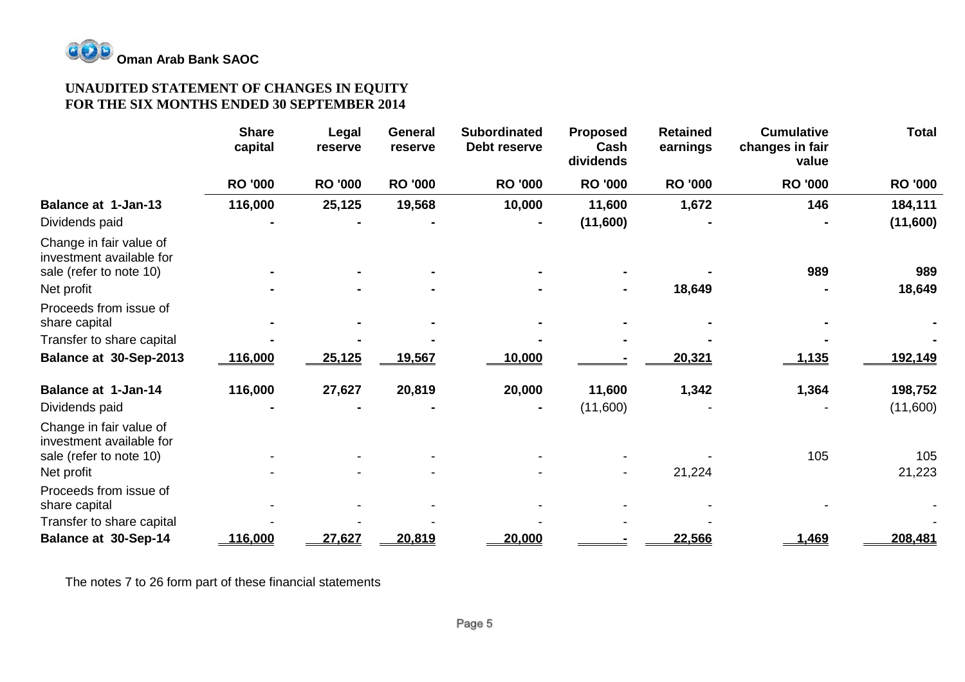

#### **UNAUDITED STATEMENT OF CHANGES IN EQUITY FOR THE SIX MONTHS ENDED 30 SEPTEMBER 2014**

|                                                                                | <b>Share</b><br>capital | Legal<br>reserve | <b>General</b><br>reserve | <b>Subordinated</b><br>Debt reserve | <b>Proposed</b><br>Cash<br>dividends | <b>Retained</b><br>earnings | <b>Cumulative</b><br>changes in fair<br>value | <b>Total</b>        |
|--------------------------------------------------------------------------------|-------------------------|------------------|---------------------------|-------------------------------------|--------------------------------------|-----------------------------|-----------------------------------------------|---------------------|
|                                                                                | <b>RO '000</b>          | <b>RO '000</b>   | <b>RO '000</b>            | <b>RO '000</b>                      | <b>RO '000</b>                       | <b>RO '000</b>              | <b>RO '000</b>                                | <b>RO '000</b>      |
| <b>Balance at 1-Jan-13</b>                                                     | 116,000                 | 25,125           | 19,568                    | 10,000                              | 11,600                               | 1,672                       | 146                                           | 184,111             |
| Dividends paid                                                                 |                         |                  |                           |                                     | (11,600)                             |                             |                                               | (11,600)            |
| Change in fair value of<br>investment available for<br>sale (refer to note 10) |                         |                  |                           |                                     |                                      |                             | 989                                           | 989                 |
| Net profit                                                                     |                         |                  |                           |                                     |                                      | 18,649                      |                                               | 18,649              |
| Proceeds from issue of<br>share capital                                        |                         |                  |                           |                                     |                                      |                             |                                               |                     |
| Transfer to share capital                                                      |                         |                  |                           |                                     |                                      |                             |                                               |                     |
| Balance at 30-Sep-2013                                                         | 116,000                 | 25,125           | 19,567                    | <u> 10,000</u>                      |                                      | 20,321                      | 1,135                                         | 192,149             |
| <b>Balance at 1-Jan-14</b><br>Dividends paid                                   | 116,000                 | 27,627           | 20,819                    | 20,000                              | 11,600<br>(11,600)                   | 1,342                       | 1,364                                         | 198,752<br>(11,600) |
| Change in fair value of<br>investment available for<br>sale (refer to note 10) |                         |                  |                           |                                     |                                      |                             | 105                                           | 105                 |
| Net profit                                                                     |                         |                  |                           |                                     |                                      | 21,224                      |                                               | 21,223              |
| Proceeds from issue of<br>share capital                                        |                         |                  |                           |                                     |                                      |                             |                                               |                     |
| Transfer to share capital                                                      |                         |                  |                           |                                     |                                      |                             |                                               |                     |
| <b>Balance at 30-Sep-14</b>                                                    | 116,000                 | 27,627           | 20,819                    | 20,000                              |                                      | 22,566                      | 1,469                                         | 208,481             |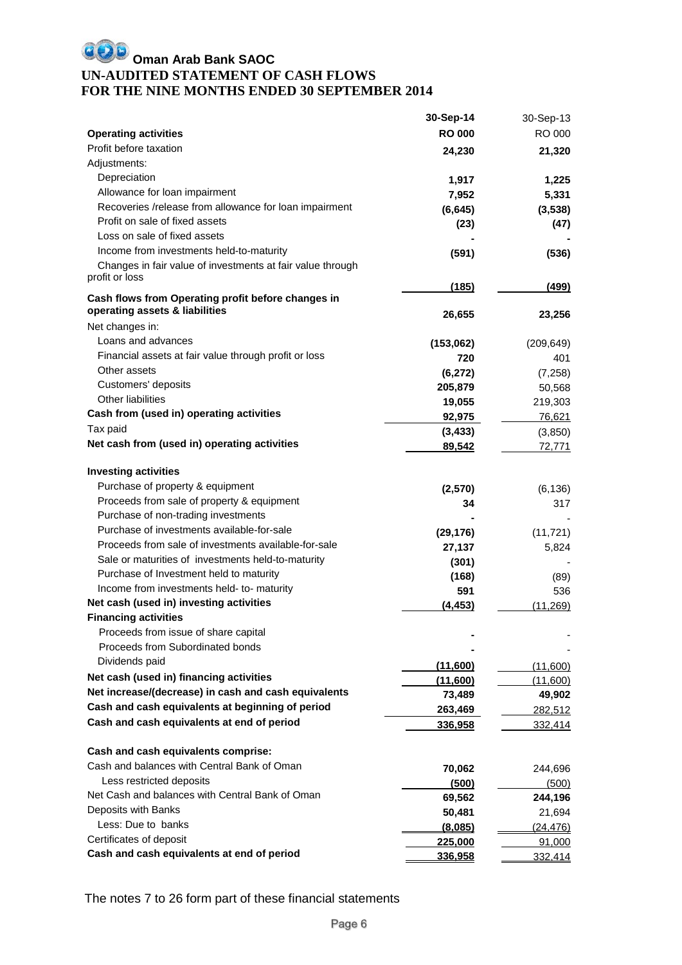### **OD** Oman Arab Bank SAOC **UN-AUDITED STATEMENT OF CASH FLOWS FOR THE NINE MONTHS ENDED 30 SEPTEMBER 2014**

|                                                                              | 30-Sep-14        | 30-Sep-13         |
|------------------------------------------------------------------------------|------------------|-------------------|
| <b>Operating activities</b>                                                  | <b>RO 000</b>    | RO 000            |
| Profit before taxation                                                       | 24,230           | 21,320            |
| Adjustments:                                                                 |                  |                   |
| Depreciation                                                                 | 1,917            | 1,225             |
| Allowance for loan impairment                                                | 7,952            | 5,331             |
| Recoveries /release from allowance for loan impairment                       | (6, 645)         | (3, 538)          |
| Profit on sale of fixed assets                                               | (23)             | (47)              |
| Loss on sale of fixed assets                                                 |                  |                   |
| Income from investments held-to-maturity                                     | (591)            | (536)             |
| Changes in fair value of investments at fair value through<br>profit or loss |                  |                   |
| Cash flows from Operating profit before changes in                           | (185)            | (499)             |
| operating assets & liabilities                                               | 26,655           |                   |
| Net changes in:                                                              |                  | 23,256            |
| Loans and advances                                                           |                  |                   |
| Financial assets at fair value through profit or loss                        | (153,062)<br>720 | (209, 649)<br>401 |
| Other assets                                                                 | (6, 272)         | (7, 258)          |
| Customers' deposits                                                          | 205,879          | 50,568            |
| Other liabilities                                                            | 19,055           | 219,303           |
| Cash from (used in) operating activities                                     | 92,975           | 76,621            |
| Tax paid                                                                     | (3, 433)         | (3, 850)          |
| Net cash from (used in) operating activities                                 | 89,542           | 72,771            |
|                                                                              |                  |                   |
| <b>Investing activities</b>                                                  |                  |                   |
| Purchase of property & equipment                                             | (2,570)          | (6, 136)          |
| Proceeds from sale of property & equipment                                   | 34               | 317               |
| Purchase of non-trading investments                                          |                  |                   |
| Purchase of investments available-for-sale                                   | (29, 176)        | (11, 721)         |
| Proceeds from sale of investments available-for-sale                         | 27,137           | 5,824             |
| Sale or maturities of investments held-to-maturity                           | (301)            |                   |
| Purchase of Investment held to maturity                                      | (168)            | (89)              |
| Income from investments held- to- maturity                                   | 591              | 536               |
| Net cash (used in) investing activities                                      | (4, 453)         | (11, 269)         |
| <b>Financing activities</b>                                                  |                  |                   |
| Proceeds from issue of share capital                                         |                  |                   |
| Proceeds from Subordinated bonds                                             |                  |                   |
| Dividends paid                                                               | (11,600)         | (11,600)          |
| Net cash (used in) financing activities                                      | (11,600)         | (11,600)          |
| Net increase/(decrease) in cash and cash equivalents                         | 73,489           | 49,902            |
| Cash and cash equivalents at beginning of period                             | 263,469          | 282,512           |
| Cash and cash equivalents at end of period                                   | 336,958          | 332,414           |
|                                                                              |                  |                   |
| Cash and cash equivalents comprise:                                          |                  |                   |
| Cash and balances with Central Bank of Oman                                  | 70,062           | 244,696           |
| Less restricted deposits                                                     | (500)            | (500)             |
| Net Cash and balances with Central Bank of Oman                              | 69,562           | 244,196           |
| Deposits with Banks                                                          | 50,481           | 21,694            |
| Less: Due to banks                                                           | (8,085)          | (24, 476)         |
| Certificates of deposit                                                      | 225,000          | 91,000            |
| Cash and cash equivalents at end of period                                   | 336,958          | 332,414           |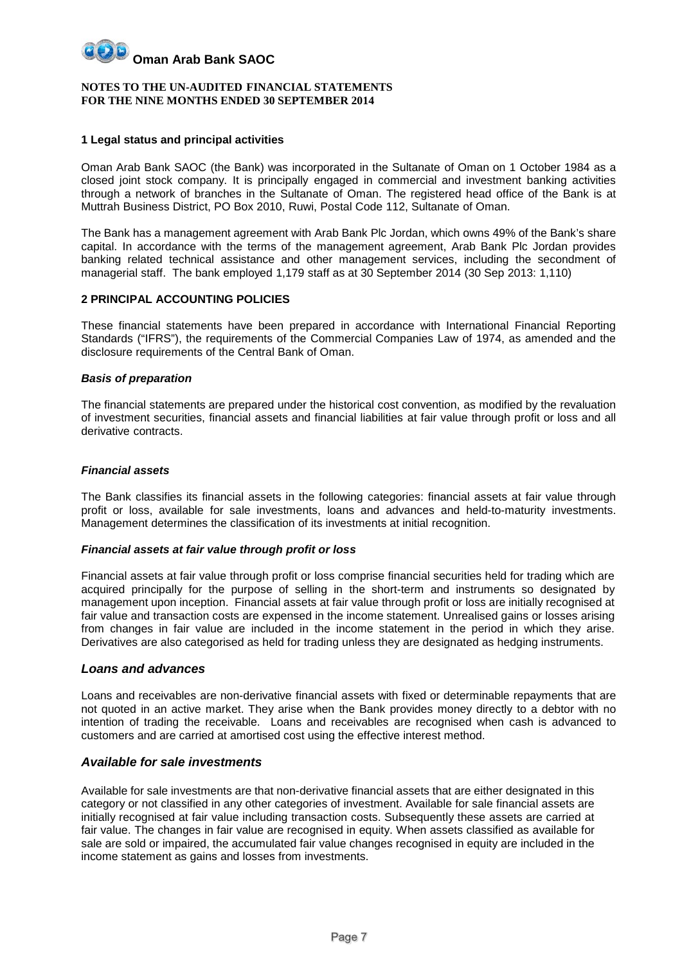#### **NOTES TO THE UN-AUDITED FINANCIAL STATEMENTS FOR THE NINE MONTHS ENDED 30 SEPTEMBER 2014**

#### **1 Legal status and principal activities**

Oman Arab Bank SAOC (the Bank) was incorporated in the Sultanate of Oman on 1 October 1984 as a closed joint stock company. It is principally engaged in commercial and investment banking activities through a network of branches in the Sultanate of Oman. The registered head office of the Bank is at Muttrah Business District, PO Box 2010, Ruwi, Postal Code 112, Sultanate of Oman.

The Bank has a management agreement with Arab Bank Plc Jordan, which owns 49% of the Bank's share capital. In accordance with the terms of the management agreement, Arab Bank Plc Jordan provides banking related technical assistance and other management services, including the secondment of managerial staff. The bank employed 1,179 staff as at 30 September 2014 (30 Sep 2013: 1,110)

#### **2 PRINCIPAL ACCOUNTING POLICIES**

These financial statements have been prepared in accordance with International Financial Reporting Standards ("IFRS"), the requirements of the Commercial Companies Law of 1974, as amended and the disclosure requirements of the Central Bank of Oman.

#### *Basis of preparation*

The financial statements are prepared under the historical cost convention, as modified by the revaluation of investment securities, financial assets and financial liabilities at fair value through profit or loss and all derivative contracts.

#### *Financial assets*

The Bank classifies its financial assets in the following categories: financial assets at fair value through profit or loss, available for sale investments, loans and advances and held-to-maturity investments. Management determines the classification of its investments at initial recognition.

#### *Financial assets at fair value through profit or loss*

Financial assets at fair value through profit or loss comprise financial securities held for trading which are acquired principally for the purpose of selling in the short-term and instruments so designated by management upon inception. Financial assets at fair value through profit or loss are initially recognised at fair value and transaction costs are expensed in the income statement. Unrealised gains or losses arising from changes in fair value are included in the income statement in the period in which they arise. Derivatives are also categorised as held for trading unless they are designated as hedging instruments.

#### *Loans and advances*

Loans and receivables are non-derivative financial assets with fixed or determinable repayments that are not quoted in an active market. They arise when the Bank provides money directly to a debtor with no intention of trading the receivable. Loans and receivables are recognised when cash is advanced to customers and are carried at amortised cost using the effective interest method.

#### *Available for sale investments*

Available for sale investments are that non-derivative financial assets that are either designated in this category or not classified in any other categories of investment. Available for sale financial assets are initially recognised at fair value including transaction costs. Subsequently these assets are carried at fair value. The changes in fair value are recognised in equity. When assets classified as available for sale are sold or impaired, the accumulated fair value changes recognised in equity are included in the income statement as gains and losses from investments.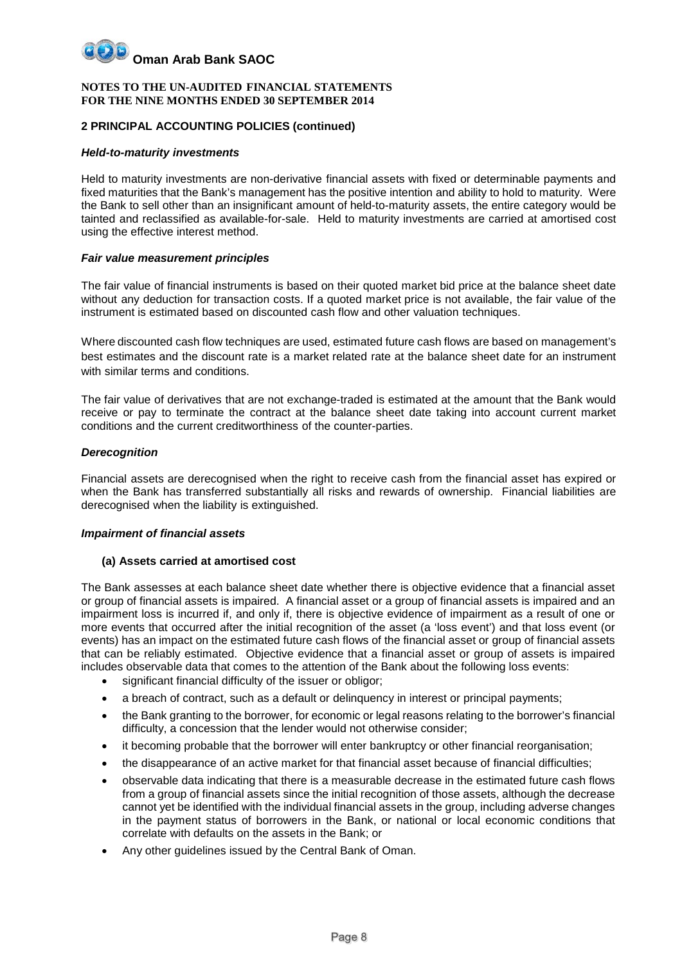#### **NOTES TO THE UN-AUDITED FINANCIAL STATEMENTS FOR THE NINE MONTHS ENDED 30 SEPTEMBER 2014**

#### **2 PRINCIPAL ACCOUNTING POLICIES (continued)**

#### *Held-to-maturity investments*

Held to maturity investments are non-derivative financial assets with fixed or determinable payments and fixed maturities that the Bank's management has the positive intention and ability to hold to maturity. Were the Bank to sell other than an insignificant amount of held-to-maturity assets, the entire category would be tainted and reclassified as available-for-sale. Held to maturity investments are carried at amortised cost using the effective interest method.

#### *Fair value measurement principles*

The fair value of financial instruments is based on their quoted market bid price at the balance sheet date without any deduction for transaction costs. If a quoted market price is not available, the fair value of the instrument is estimated based on discounted cash flow and other valuation techniques.

Where discounted cash flow techniques are used, estimated future cash flows are based on management's best estimates and the discount rate is a market related rate at the balance sheet date for an instrument with similar terms and conditions.

The fair value of derivatives that are not exchange-traded is estimated at the amount that the Bank would receive or pay to terminate the contract at the balance sheet date taking into account current market conditions and the current creditworthiness of the counter-parties.

#### *Derecognition*

Financial assets are derecognised when the right to receive cash from the financial asset has expired or when the Bank has transferred substantially all risks and rewards of ownership. Financial liabilities are derecognised when the liability is extinguished.

#### *Impairment of financial assets*

#### **(a) Assets carried at amortised cost**

The Bank assesses at each balance sheet date whether there is objective evidence that a financial asset or group of financial assets is impaired. A financial asset or a group of financial assets is impaired and an impairment loss is incurred if, and only if, there is objective evidence of impairment as a result of one or more events that occurred after the initial recognition of the asset (a 'loss event') and that loss event (or events) has an impact on the estimated future cash flows of the financial asset or group of financial assets that can be reliably estimated. Objective evidence that a financial asset or group of assets is impaired includes observable data that comes to the attention of the Bank about the following loss events:

- significant financial difficulty of the issuer or obligor;
- a breach of contract, such as a default or delinguency in interest or principal payments;
- the Bank granting to the borrower, for economic or legal reasons relating to the borrower's financial difficulty, a concession that the lender would not otherwise consider;
- it becoming probable that the borrower will enter bankruptcy or other financial reorganisation;
- the disappearance of an active market for that financial asset because of financial difficulties;
- observable data indicating that there is a measurable decrease in the estimated future cash flows from a group of financial assets since the initial recognition of those assets, although the decrease cannot yet be identified with the individual financial assets in the group, including adverse changes in the payment status of borrowers in the Bank, or national or local economic conditions that correlate with defaults on the assets in the Bank; or
- Any other guidelines issued by the Central Bank of Oman.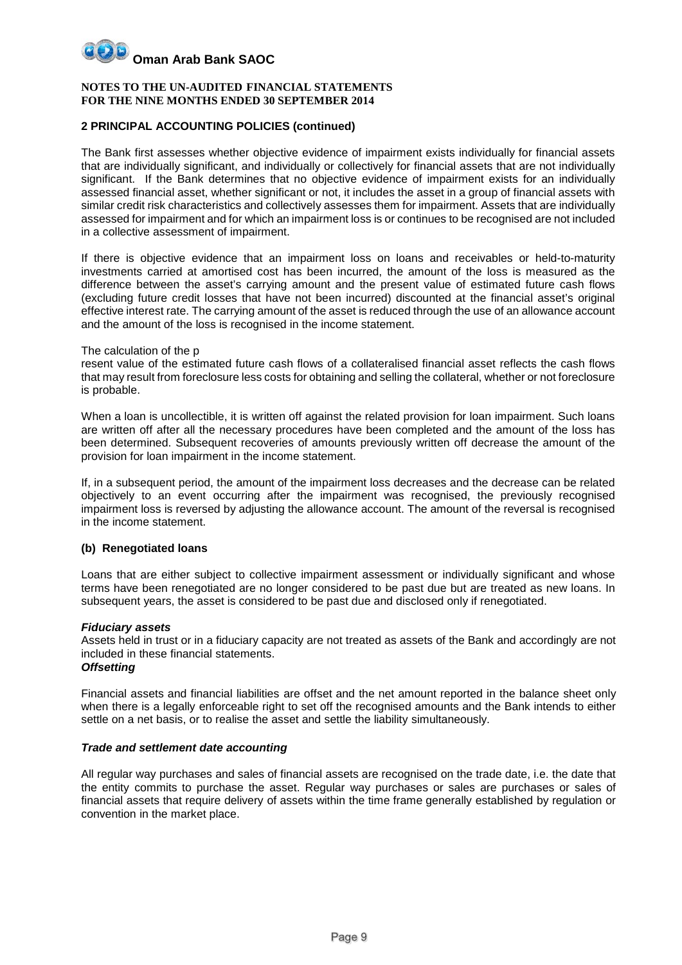#### **NOTES TO THE UN-AUDITED FINANCIAL STATEMENTS FOR THE NINE MONTHS ENDED 30 SEPTEMBER 2014**

#### **2 PRINCIPAL ACCOUNTING POLICIES (continued)**

The Bank first assesses whether objective evidence of impairment exists individually for financial assets that are individually significant, and individually or collectively for financial assets that are not individually significant. If the Bank determines that no objective evidence of impairment exists for an individually assessed financial asset, whether significant or not, it includes the asset in a group of financial assets with similar credit risk characteristics and collectively assesses them for impairment. Assets that are individually assessed for impairment and for which an impairment loss is or continues to be recognised are not included in a collective assessment of impairment.

If there is objective evidence that an impairment loss on loans and receivables or held-to-maturity investments carried at amortised cost has been incurred, the amount of the loss is measured as the difference between the asset's carrying amount and the present value of estimated future cash flows (excluding future credit losses that have not been incurred) discounted at the financial asset's original effective interest rate. The carrying amount of the asset is reduced through the use of an allowance account and the amount of the loss is recognised in the income statement.

#### The calculation of the p

resent value of the estimated future cash flows of a collateralised financial asset reflects the cash flows that may result from foreclosure less costs for obtaining and selling the collateral, whether or not foreclosure is probable.

When a loan is uncollectible, it is written off against the related provision for loan impairment. Such loans are written off after all the necessary procedures have been completed and the amount of the loss has been determined. Subsequent recoveries of amounts previously written off decrease the amount of the provision for loan impairment in the income statement.

If, in a subsequent period, the amount of the impairment loss decreases and the decrease can be related objectively to an event occurring after the impairment was recognised, the previously recognised impairment loss is reversed by adjusting the allowance account. The amount of the reversal is recognised in the income statement.

#### **(b) Renegotiated loans**

Loans that are either subject to collective impairment assessment or individually significant and whose terms have been renegotiated are no longer considered to be past due but are treated as new loans. In subsequent years, the asset is considered to be past due and disclosed only if renegotiated.

#### *Fiduciary assets*

Assets held in trust or in a fiduciary capacity are not treated as assets of the Bank and accordingly are not included in these financial statements. *Offsetting*

Financial assets and financial liabilities are offset and the net amount reported in the balance sheet only when there is a legally enforceable right to set off the recognised amounts and the Bank intends to either settle on a net basis, or to realise the asset and settle the liability simultaneously.

#### *Trade and settlement date accounting*

All regular way purchases and sales of financial assets are recognised on the trade date, i.e. the date that the entity commits to purchase the asset. Regular way purchases or sales are purchases or sales of financial assets that require delivery of assets within the time frame generally established by regulation or convention in the market place.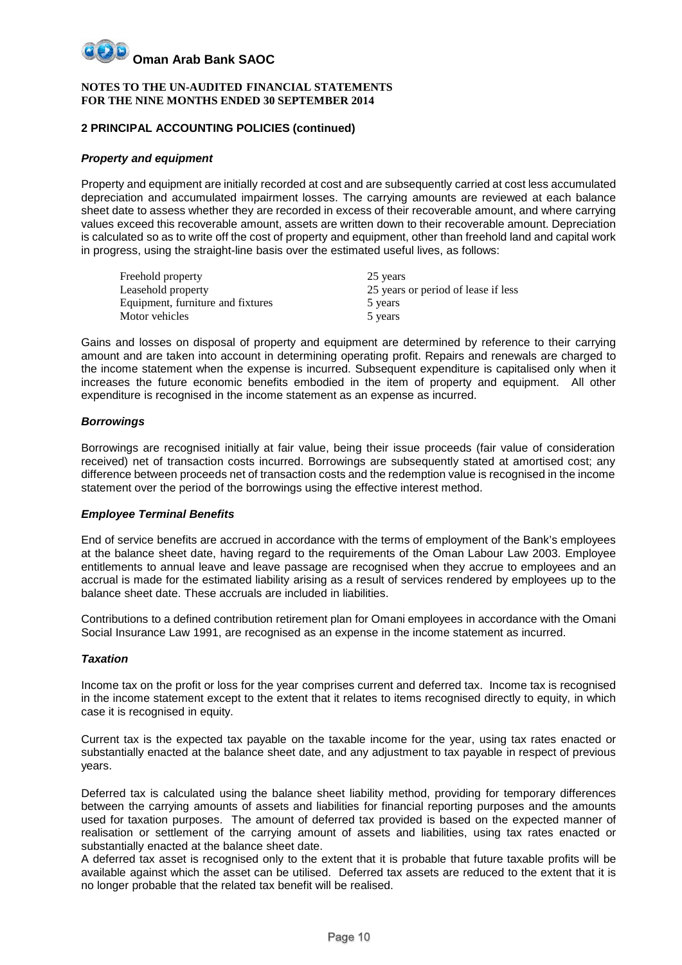#### **NOTES TO THE UN-AUDITED FINANCIAL STATEMENTS FOR THE NINE MONTHS ENDED 30 SEPTEMBER 2014**

#### **2 PRINCIPAL ACCOUNTING POLICIES (continued)**

#### *Property and equipment*

Property and equipment are initially recorded at cost and are subsequently carried at cost less accumulated depreciation and accumulated impairment losses. The carrying amounts are reviewed at each balance sheet date to assess whether they are recorded in excess of their recoverable amount, and where carrying values exceed this recoverable amount, assets are written down to their recoverable amount. Depreciation is calculated so as to write off the cost of property and equipment, other than freehold land and capital work in progress, using the straight-line basis over the estimated useful lives, as follows:

| Freehold property                 | 25 years                            |
|-----------------------------------|-------------------------------------|
| Leasehold property                | 25 years or period of lease if less |
| Equipment, furniture and fixtures | 5 years                             |
| Motor vehicles                    | 5 years                             |

Gains and losses on disposal of property and equipment are determined by reference to their carrying amount and are taken into account in determining operating profit. Repairs and renewals are charged to the income statement when the expense is incurred. Subsequent expenditure is capitalised only when it increases the future economic benefits embodied in the item of property and equipment. All other expenditure is recognised in the income statement as an expense as incurred.

#### *Borrowings*

Borrowings are recognised initially at fair value, being their issue proceeds (fair value of consideration received) net of transaction costs incurred. Borrowings are subsequently stated at amortised cost; any difference between proceeds net of transaction costs and the redemption value is recognised in the income statement over the period of the borrowings using the effective interest method.

#### *Employee Terminal Benefits*

End of service benefits are accrued in accordance with the terms of employment of the Bank's employees at the balance sheet date, having regard to the requirements of the Oman Labour Law 2003. Employee entitlements to annual leave and leave passage are recognised when they accrue to employees and an accrual is made for the estimated liability arising as a result of services rendered by employees up to the balance sheet date. These accruals are included in liabilities.

Contributions to a defined contribution retirement plan for Omani employees in accordance with the Omani Social Insurance Law 1991, are recognised as an expense in the income statement as incurred.

#### *Taxation*

Income tax on the profit or loss for the year comprises current and deferred tax. Income tax is recognised in the income statement except to the extent that it relates to items recognised directly to equity, in which case it is recognised in equity.

Current tax is the expected tax payable on the taxable income for the year, using tax rates enacted or substantially enacted at the balance sheet date, and any adjustment to tax payable in respect of previous years.

Deferred tax is calculated using the balance sheet liability method, providing for temporary differences between the carrying amounts of assets and liabilities for financial reporting purposes and the amounts used for taxation purposes. The amount of deferred tax provided is based on the expected manner of realisation or settlement of the carrying amount of assets and liabilities, using tax rates enacted or substantially enacted at the balance sheet date.

A deferred tax asset is recognised only to the extent that it is probable that future taxable profits will be available against which the asset can be utilised. Deferred tax assets are reduced to the extent that it is no longer probable that the related tax benefit will be realised.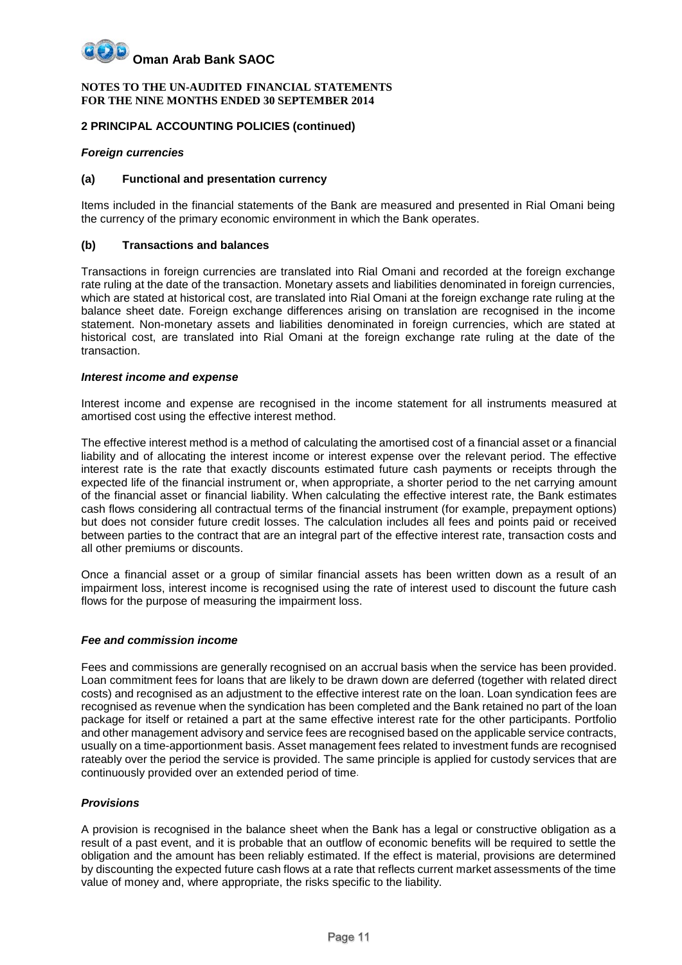#### **NOTES TO THE UN-AUDITED FINANCIAL STATEMENTS FOR THE NINE MONTHS ENDED 30 SEPTEMBER 2014**

#### **2 PRINCIPAL ACCOUNTING POLICIES (continued)**

#### *Foreign currencies*

#### **(a) Functional and presentation currency**

Items included in the financial statements of the Bank are measured and presented in Rial Omani being the currency of the primary economic environment in which the Bank operates.

#### **(b) Transactions and balances**

Transactions in foreign currencies are translated into Rial Omani and recorded at the foreign exchange rate ruling at the date of the transaction. Monetary assets and liabilities denominated in foreign currencies, which are stated at historical cost, are translated into Rial Omani at the foreign exchange rate ruling at the balance sheet date. Foreign exchange differences arising on translation are recognised in the income statement. Non-monetary assets and liabilities denominated in foreign currencies, which are stated at historical cost, are translated into Rial Omani at the foreign exchange rate ruling at the date of the transaction.

#### *Interest income and expense*

Interest income and expense are recognised in the income statement for all instruments measured at amortised cost using the effective interest method.

The effective interest method is a method of calculating the amortised cost of a financial asset or a financial liability and of allocating the interest income or interest expense over the relevant period. The effective interest rate is the rate that exactly discounts estimated future cash payments or receipts through the expected life of the financial instrument or, when appropriate, a shorter period to the net carrying amount of the financial asset or financial liability. When calculating the effective interest rate, the Bank estimates cash flows considering all contractual terms of the financial instrument (for example, prepayment options) but does not consider future credit losses. The calculation includes all fees and points paid or received between parties to the contract that are an integral part of the effective interest rate, transaction costs and all other premiums or discounts.

Once a financial asset or a group of similar financial assets has been written down as a result of an impairment loss, interest income is recognised using the rate of interest used to discount the future cash flows for the purpose of measuring the impairment loss.

#### *Fee and commission income*

Fees and commissions are generally recognised on an accrual basis when the service has been provided. Loan commitment fees for loans that are likely to be drawn down are deferred (together with related direct costs) and recognised as an adjustment to the effective interest rate on the loan. Loan syndication fees are recognised as revenue when the syndication has been completed and the Bank retained no part of the loan package for itself or retained a part at the same effective interest rate for the other participants. Portfolio and other management advisory and service fees are recognised based on the applicable service contracts, usually on a time-apportionment basis. Asset management fees related to investment funds are recognised rateably over the period the service is provided. The same principle is applied for custody services that are continuously provided over an extended period of time.

#### *Provisions*

A provision is recognised in the balance sheet when the Bank has a legal or constructive obligation as a result of a past event, and it is probable that an outflow of economic benefits will be required to settle the obligation and the amount has been reliably estimated. If the effect is material, provisions are determined by discounting the expected future cash flows at a rate that reflects current market assessments of the time value of money and, where appropriate, the risks specific to the liability.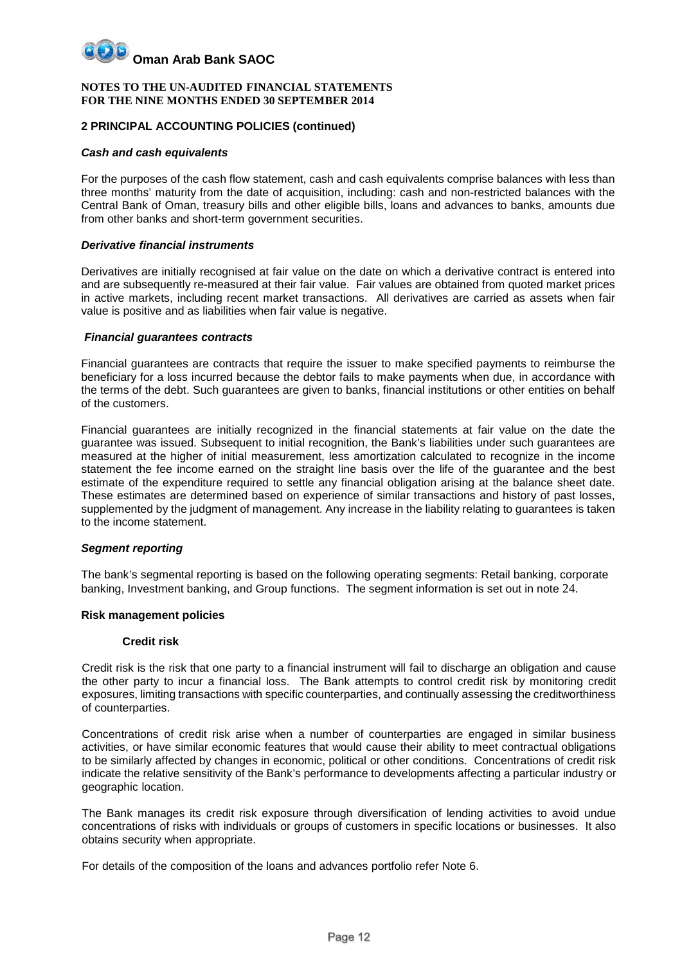#### **NOTES TO THE UN-AUDITED FINANCIAL STATEMENTS FOR THE NINE MONTHS ENDED 30 SEPTEMBER 2014**

#### **2 PRINCIPAL ACCOUNTING POLICIES (continued)**

#### *Cash and cash equivalents*

For the purposes of the cash flow statement, cash and cash equivalents comprise balances with less than three months' maturity from the date of acquisition, including: cash and non-restricted balances with the Central Bank of Oman, treasury bills and other eligible bills, loans and advances to banks, amounts due from other banks and short-term government securities.

#### *Derivative financial instruments*

Derivatives are initially recognised at fair value on the date on which a derivative contract is entered into and are subsequently re-measured at their fair value. Fair values are obtained from quoted market prices in active markets, including recent market transactions. All derivatives are carried as assets when fair value is positive and as liabilities when fair value is negative.

#### *Financial guarantees contracts*

Financial guarantees are contracts that require the issuer to make specified payments to reimburse the beneficiary for a loss incurred because the debtor fails to make payments when due, in accordance with the terms of the debt. Such guarantees are given to banks, financial institutions or other entities on behalf of the customers.

Financial guarantees are initially recognized in the financial statements at fair value on the date the guarantee was issued. Subsequent to initial recognition, the Bank's liabilities under such guarantees are measured at the higher of initial measurement, less amortization calculated to recognize in the income statement the fee income earned on the straight line basis over the life of the guarantee and the best estimate of the expenditure required to settle any financial obligation arising at the balance sheet date. These estimates are determined based on experience of similar transactions and history of past losses, supplemented by the judgment of management. Any increase in the liability relating to guarantees is taken to the income statement.

#### *Segment reporting*

The bank's segmental reporting is based on the following operating segments: Retail banking, corporate banking, Investment banking, and Group functions. The segment information is set out in note 24.

#### **Risk management policies**

#### **Credit risk**

Credit risk is the risk that one party to a financial instrument will fail to discharge an obligation and cause the other party to incur a financial loss. The Bank attempts to control credit risk by monitoring credit exposures, limiting transactions with specific counterparties, and continually assessing the creditworthiness of counterparties.

Concentrations of credit risk arise when a number of counterparties are engaged in similar business activities, or have similar economic features that would cause their ability to meet contractual obligations to be similarly affected by changes in economic, political or other conditions. Concentrations of credit risk indicate the relative sensitivity of the Bank's performance to developments affecting a particular industry or geographic location.

The Bank manages its credit risk exposure through diversification of lending activities to avoid undue concentrations of risks with individuals or groups of customers in specific locations or businesses. It also obtains security when appropriate.

For details of the composition of the loans and advances portfolio refer Note 6.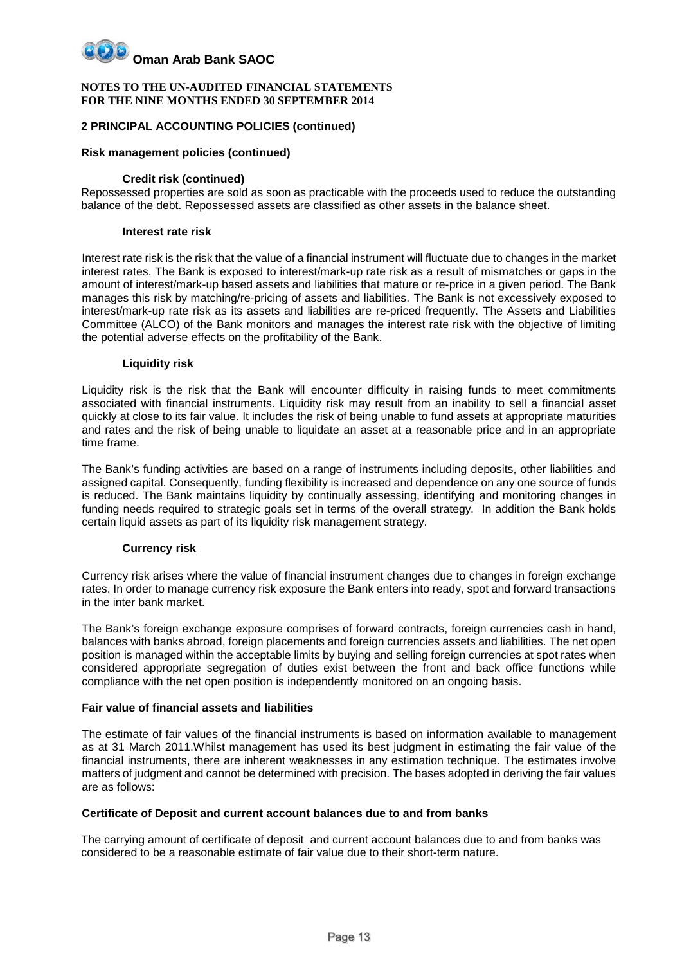#### **NOTES TO THE UN-AUDITED FINANCIAL STATEMENTS FOR THE NINE MONTHS ENDED 30 SEPTEMBER 2014**

#### **2 PRINCIPAL ACCOUNTING POLICIES (continued)**

#### **Risk management policies (continued)**

#### **Credit risk (continued)**

Repossessed properties are sold as soon as practicable with the proceeds used to reduce the outstanding balance of the debt. Repossessed assets are classified as other assets in the balance sheet.

#### **Interest rate risk**

Interest rate risk is the risk that the value of a financial instrument will fluctuate due to changes in the market interest rates. The Bank is exposed to interest/mark-up rate risk as a result of mismatches or gaps in the amount of interest/mark-up based assets and liabilities that mature or re-price in a given period. The Bank manages this risk by matching/re-pricing of assets and liabilities. The Bank is not excessively exposed to interest/mark-up rate risk as its assets and liabilities are re-priced frequently. The Assets and Liabilities Committee (ALCO) of the Bank monitors and manages the interest rate risk with the objective of limiting the potential adverse effects on the profitability of the Bank.

#### **Liquidity risk**

Liquidity risk is the risk that the Bank will encounter difficulty in raising funds to meet commitments associated with financial instruments. Liquidity risk may result from an inability to sell a financial asset quickly at close to its fair value. It includes the risk of being unable to fund assets at appropriate maturities and rates and the risk of being unable to liquidate an asset at a reasonable price and in an appropriate time frame.

The Bank's funding activities are based on a range of instruments including deposits, other liabilities and assigned capital. Consequently, funding flexibility is increased and dependence on any one source of funds is reduced. The Bank maintains liquidity by continually assessing, identifying and monitoring changes in funding needs required to strategic goals set in terms of the overall strategy. In addition the Bank holds certain liquid assets as part of its liquidity risk management strategy.

#### **Currency risk**

Currency risk arises where the value of financial instrument changes due to changes in foreign exchange rates. In order to manage currency risk exposure the Bank enters into ready, spot and forward transactions in the inter bank market.

The Bank's foreign exchange exposure comprises of forward contracts, foreign currencies cash in hand, balances with banks abroad, foreign placements and foreign currencies assets and liabilities. The net open position is managed within the acceptable limits by buying and selling foreign currencies at spot rates when considered appropriate segregation of duties exist between the front and back office functions while compliance with the net open position is independently monitored on an ongoing basis.

#### **Fair value of financial assets and liabilities**

The estimate of fair values of the financial instruments is based on information available to management as at 31 March 2011.Whilst management has used its best judgment in estimating the fair value of the financial instruments, there are inherent weaknesses in any estimation technique. The estimates involve matters of judgment and cannot be determined with precision. The bases adopted in deriving the fair values are as follows:

#### **Certificate of Deposit and current account balances due to and from banks**

The carrying amount of certificate of deposit and current account balances due to and from banks was considered to be a reasonable estimate of fair value due to their short-term nature.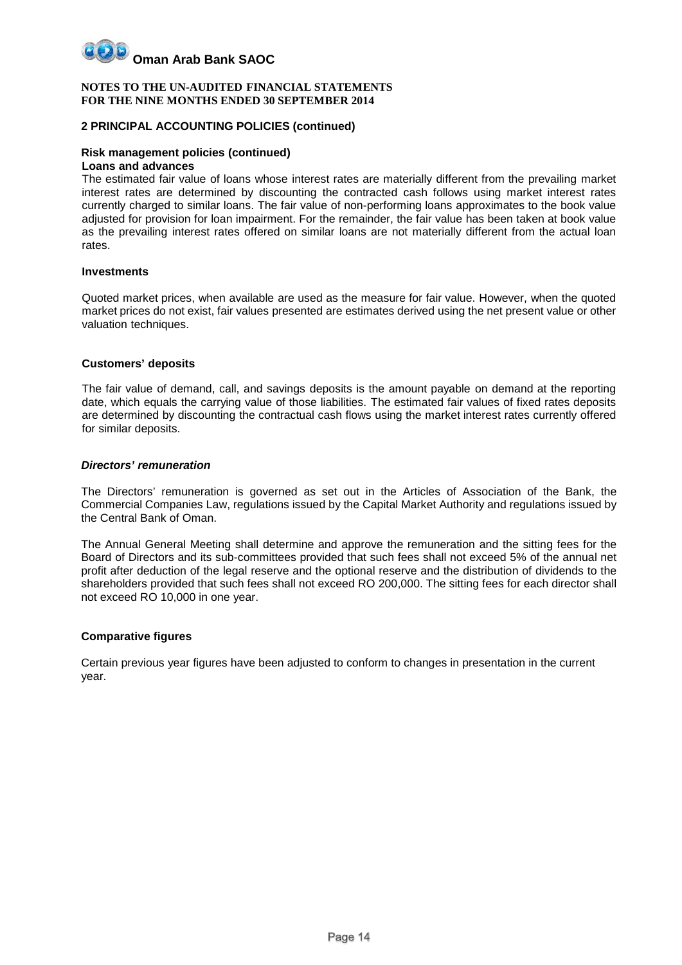

#### **2 PRINCIPAL ACCOUNTING POLICIES (continued)**

#### **Risk management policies (continued)**

#### **Loans and advances**

The estimated fair value of loans whose interest rates are materially different from the prevailing market interest rates are determined by discounting the contracted cash follows using market interest rates currently charged to similar loans. The fair value of non-performing loans approximates to the book value adjusted for provision for loan impairment. For the remainder, the fair value has been taken at book value as the prevailing interest rates offered on similar loans are not materially different from the actual loan rates.

#### **Investments**

Quoted market prices, when available are used as the measure for fair value. However, when the quoted market prices do not exist, fair values presented are estimates derived using the net present value or other valuation techniques.

#### **Customers' deposits**

The fair value of demand, call, and savings deposits is the amount payable on demand at the reporting date, which equals the carrying value of those liabilities. The estimated fair values of fixed rates deposits are determined by discounting the contractual cash flows using the market interest rates currently offered for similar deposits.

#### *Directors' remuneration*

The Directors' remuneration is governed as set out in the Articles of Association of the Bank, the Commercial Companies Law, regulations issued by the Capital Market Authority and regulations issued by the Central Bank of Oman.

The Annual General Meeting shall determine and approve the remuneration and the sitting fees for the Board of Directors and its sub-committees provided that such fees shall not exceed 5% of the annual net profit after deduction of the legal reserve and the optional reserve and the distribution of dividends to the shareholders provided that such fees shall not exceed RO 200,000. The sitting fees for each director shall not exceed RO 10,000 in one year.

#### **Comparative figures**

Certain previous year figures have been adjusted to conform to changes in presentation in the current year.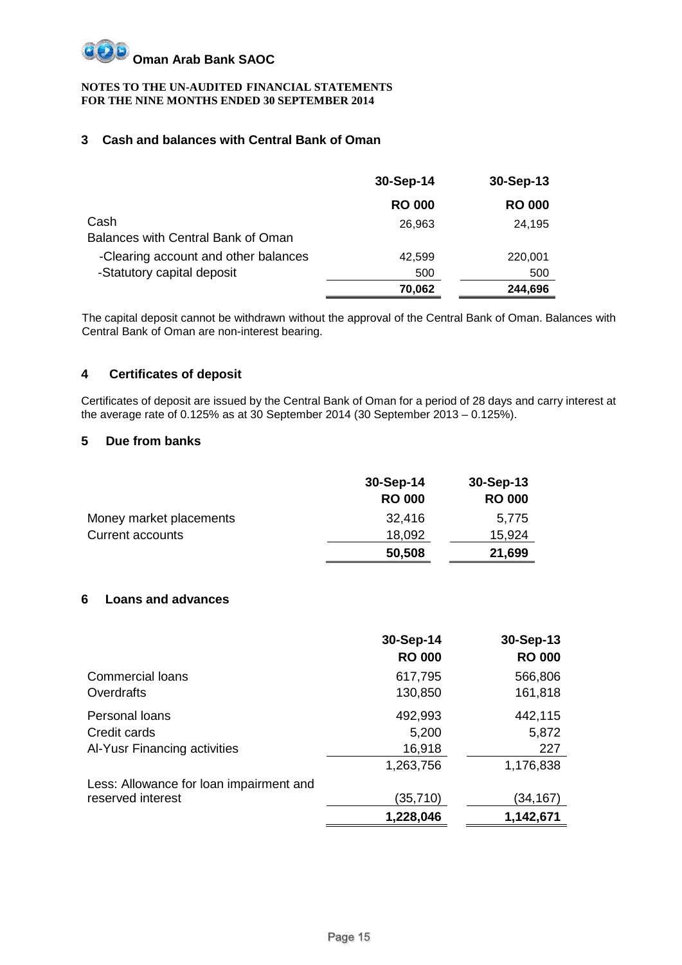

#### **3 Cash and balances with Central Bank of Oman**

|                                            | 30-Sep-14     | 30-Sep-13     |
|--------------------------------------------|---------------|---------------|
|                                            | <b>RO 000</b> | <b>RO 000</b> |
| Cash<br>Balances with Central Bank of Oman | 26,963        | 24,195        |
| -Clearing account and other balances       | 42.599        | 220,001       |
| -Statutory capital deposit                 | 500           | 500           |
|                                            | 70,062        | 244,696       |

The capital deposit cannot be withdrawn without the approval of the Central Bank of Oman. Balances with Central Bank of Oman are non-interest bearing.

#### **4 Certificates of deposit**

Certificates of deposit are issued by the Central Bank of Oman for a period of 28 days and carry interest at the average rate of 0.125% as at 30 September 2014 (30 September 2013 – 0.125%).

#### **5 Due from banks**

|                         | 30-Sep-14     | 30-Sep-13     |
|-------------------------|---------------|---------------|
|                         | <b>RO 000</b> | <b>RO 000</b> |
| Money market placements | 32,416        | 5.775         |
| <b>Current accounts</b> | 18,092        | 15,924        |
|                         | 50,508        | 21,699        |

#### **6 Loans and advances**

|                                         | 30-Sep-14<br><b>RO 000</b> | 30-Sep-13<br><b>RO 000</b> |
|-----------------------------------------|----------------------------|----------------------------|
| <b>Commercial loans</b>                 | 617,795                    | 566,806                    |
| Overdrafts                              | 130,850                    | 161,818                    |
| Personal loans                          | 492,993                    | 442,115                    |
| Credit cards                            | 5,200                      | 5,872                      |
| Al-Yusr Financing activities            | 16,918                     | 227                        |
|                                         | 1,263,756                  | 1,176,838                  |
| Less: Allowance for loan impairment and |                            |                            |
| reserved interest                       | (35,710)                   | (34,167)                   |
|                                         | 1,228,046                  | 1,142,671                  |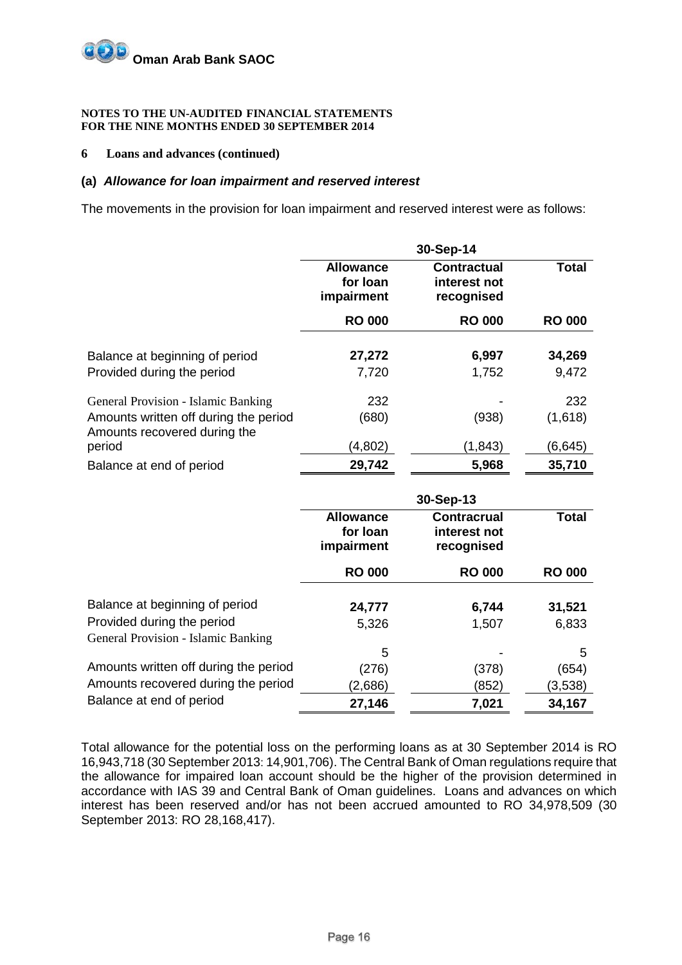

#### **6 Loans and advances (continued)**

#### **(a)** *Allowance for loan impairment and reserved interest*

The movements in the provision for loan impairment and reserved interest were as follows:

|                                                                       |                                            | 30-Sep-14                                        |               |
|-----------------------------------------------------------------------|--------------------------------------------|--------------------------------------------------|---------------|
|                                                                       | <b>Allowance</b><br>for loan<br>impairment | <b>Contractual</b><br>interest not<br>recognised | <b>Total</b>  |
|                                                                       | <b>RO 000</b>                              | <b>RO 000</b>                                    | <b>RO 000</b> |
| Balance at beginning of period                                        | 27,272                                     | 6,997                                            | 34,269        |
| Provided during the period                                            | 7,720                                      | 1,752                                            | 9,472         |
| General Provision - Islamic Banking                                   | 232                                        |                                                  | 232           |
| Amounts written off during the period<br>Amounts recovered during the | (680)                                      | (938)                                            | (1,618)       |
| period                                                                | (4,802)                                    | (1, 843)                                         | (6,645)       |
| Balance at end of period                                              | 29,742                                     | 5,968                                            | 35,710        |
|                                                                       |                                            | 30-Sep-13                                        |               |
|                                                                       | <b>Allowance</b><br>for loan<br>impairment | <b>Contracrual</b><br>interest not<br>recognised | <b>Total</b>  |
|                                                                       | <b>RO 000</b>                              | <b>RO 000</b>                                    | <b>RO 000</b> |
| Balance at beginning of period<br>.                                   | 24,777                                     | 6,744                                            | 31,521        |

| Provided during the period            | 5,326   | 1,507                    | 6,833   |
|---------------------------------------|---------|--------------------------|---------|
| General Provision - Islamic Banking   |         |                          |         |
|                                       | 5       | $\overline{\phantom{0}}$ | 5       |
| Amounts written off during the period | (276)   | (378)                    | (654)   |
| Amounts recovered during the period   | (2,686) | (852)                    | (3,538) |
| Balance at end of period              | 27,146  | 7,021                    | 34,167  |

Total allowance for the potential loss on the performing loans as at 30 September 2014 is RO 16,943,718 (30 September 2013: 14,901,706). The Central Bank of Oman regulations require that the allowance for impaired loan account should be the higher of the provision determined in accordance with IAS 39 and Central Bank of Oman guidelines. Loans and advances on which interest has been reserved and/or has not been accrued amounted to RO 34,978,509 (30 September 2013: RO 28,168,417).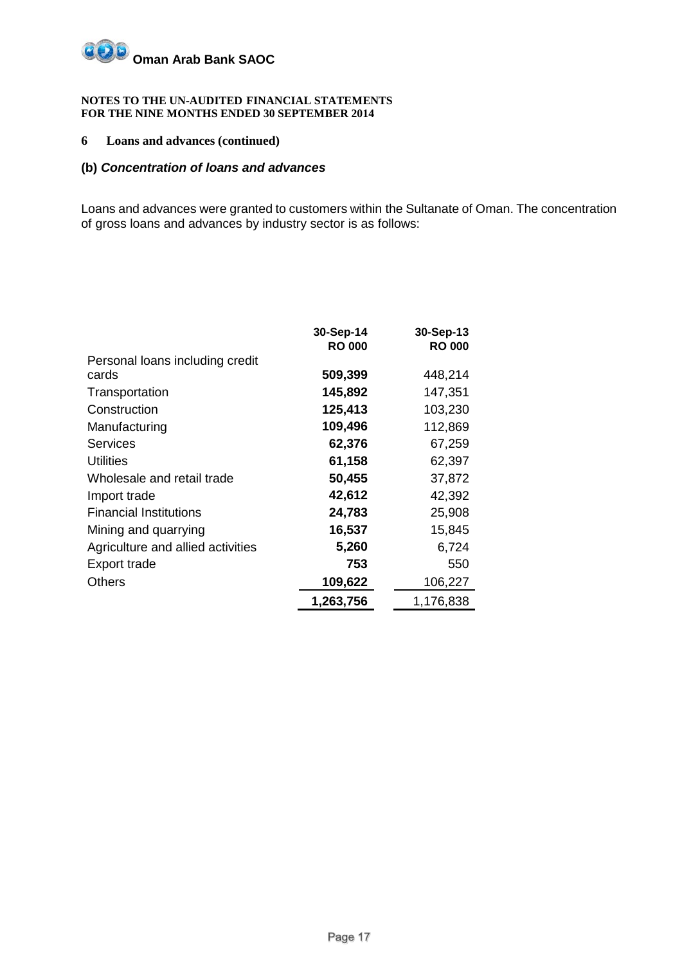

#### **6 Loans and advances (continued)**

#### **(b)** *Concentration of loans and advances*

Loans and advances were granted to customers within the Sultanate of Oman. The concentration of gross loans and advances by industry sector is as follows:

|                                   | 30-Sep-14<br><b>RO 000</b> | 30-Sep-13<br><b>RO 000</b> |
|-----------------------------------|----------------------------|----------------------------|
| Personal loans including credit   |                            |                            |
| cards                             | 509,399                    | 448,214                    |
| Transportation                    | 145,892                    | 147,351                    |
| Construction                      | 125,413                    | 103,230                    |
| Manufacturing                     | 109,496                    | 112,869                    |
| <b>Services</b>                   | 62,376                     | 67,259                     |
| <b>Utilities</b>                  | 61,158                     | 62,397                     |
| Wholesale and retail trade        | 50,455                     | 37,872                     |
| Import trade                      | 42,612                     | 42,392                     |
| <b>Financial Institutions</b>     | 24,783                     | 25,908                     |
| Mining and quarrying              | 16,537                     | 15,845                     |
| Agriculture and allied activities | 5,260                      | 6,724                      |
| Export trade                      | 753                        | 550                        |
| Others                            | 109,622                    | 106,227                    |
|                                   | 1,263,756                  | 1,176,838                  |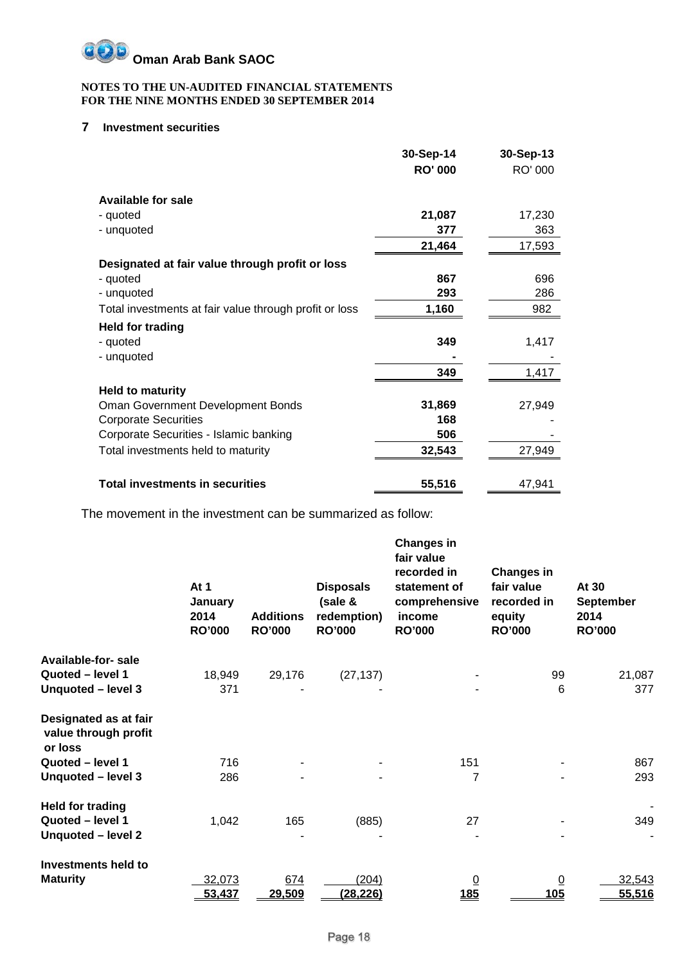

#### **7 Investment securities**

|                                                        | 30-Sep-14      | 30-Sep-13 |
|--------------------------------------------------------|----------------|-----------|
|                                                        | <b>RO' 000</b> | RO' 000   |
| <b>Available for sale</b>                              |                |           |
| - quoted                                               | 21,087         | 17,230    |
| - unquoted                                             | 377            | 363       |
|                                                        | 21,464         | 17,593    |
| Designated at fair value through profit or loss        |                |           |
| - quoted                                               | 867            | 696       |
| - unquoted                                             | 293            | 286       |
| Total investments at fair value through profit or loss | 1,160          | 982       |
| <b>Held for trading</b>                                |                |           |
| - quoted                                               | 349            | 1,417     |
| - unquoted                                             |                |           |
|                                                        | 349            | 1,417     |
| <b>Held to maturity</b>                                |                |           |
| Oman Government Development Bonds                      | 31,869         | 27,949    |
| <b>Corporate Securities</b>                            | 168            |           |
| Corporate Securities - Islamic banking                 | 506            |           |
| Total investments held to maturity                     | 32,543         | 27,949    |
|                                                        |                |           |
| <b>Total investments in securities</b>                 | 55,516         | 47,941    |

The movement in the investment can be summarized as follow:

|                                                          | At $1$<br>January<br>2014<br><b>RO'000</b> | <b>Additions</b><br><b>RO'000</b> | <b>Disposals</b><br>(sale &<br>redemption)<br><b>RO'000</b> | <b>Changes in</b><br>fair value<br>recorded in<br>statement of<br>comprehensive<br>income<br><b>RO'000</b> | <b>Changes in</b><br>fair value<br>recorded in<br>equity<br><b>RO'000</b> | At 30<br><b>September</b><br>2014<br><b>RO'000</b> |
|----------------------------------------------------------|--------------------------------------------|-----------------------------------|-------------------------------------------------------------|------------------------------------------------------------------------------------------------------------|---------------------------------------------------------------------------|----------------------------------------------------|
| Available-for-sale                                       |                                            |                                   |                                                             |                                                                                                            |                                                                           |                                                    |
| Quoted - level 1                                         | 18,949                                     | 29,176                            | (27, 137)                                                   |                                                                                                            | 99                                                                        | 21,087                                             |
| Unquoted - level 3                                       | 371                                        |                                   |                                                             |                                                                                                            | 6                                                                         | 377                                                |
| Designated as at fair<br>value through profit<br>or loss |                                            |                                   |                                                             |                                                                                                            |                                                                           |                                                    |
| Quoted - level 1                                         | 716                                        |                                   |                                                             | 151                                                                                                        |                                                                           | 867                                                |
| Unquoted - level 3                                       | 286                                        |                                   |                                                             | 7                                                                                                          |                                                                           | 293                                                |
| <b>Held for trading</b>                                  |                                            |                                   |                                                             |                                                                                                            |                                                                           |                                                    |
| Quoted - level 1                                         | 1,042                                      | 165                               | (885)                                                       | 27                                                                                                         |                                                                           | 349                                                |
| Unquoted - level 2                                       |                                            |                                   |                                                             |                                                                                                            |                                                                           |                                                    |
| Investments held to                                      |                                            |                                   |                                                             |                                                                                                            |                                                                           |                                                    |
| <b>Maturity</b>                                          | 32,073                                     | 674                               | (204)                                                       | $\overline{0}$                                                                                             | $\overline{0}$                                                            | 32,543                                             |
|                                                          | 53,437                                     | 29,509                            | (28, 226)                                                   | <u>185</u>                                                                                                 | 105                                                                       | 55,516                                             |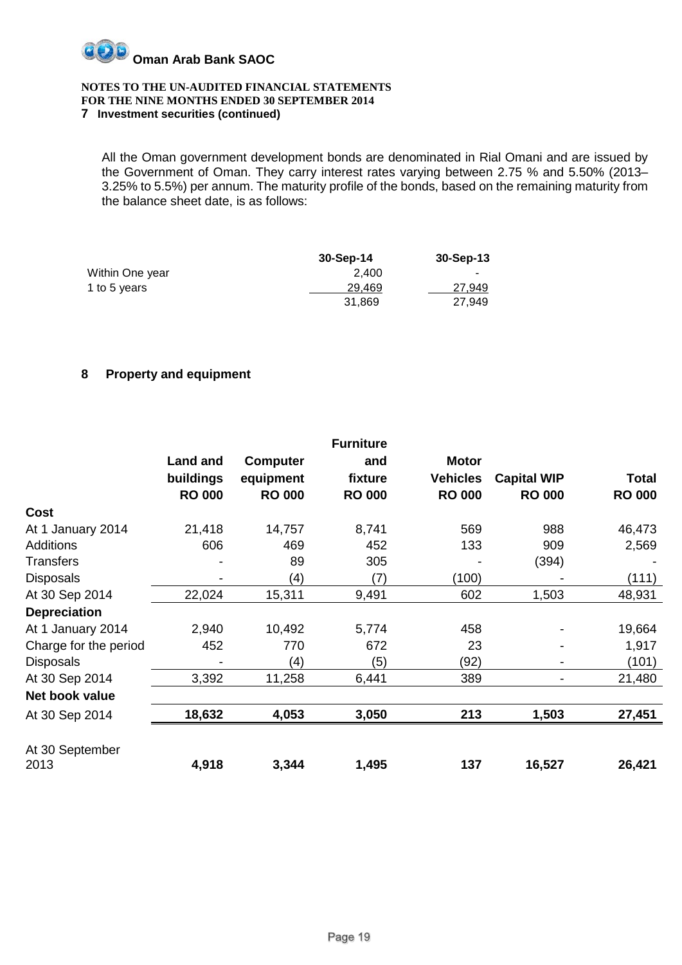

#### **7 Investment securities (continued)**

All the Oman government development bonds are denominated in Rial Omani and are issued by the Government of Oman. They carry interest rates varying between 2.75 % and 5.50% (2013– 3.25% to 5.5%) per annum. The maturity profile of the bonds, based on the remaining maturity from the balance sheet date, is as follows:

|                 | 30-Sep-14 | $30-Sep-13$ |
|-----------------|-----------|-------------|
| Within One year | 2.400     |             |
| 1 to 5 years    | 29.469    | 27.949      |
|                 | 31.869    | 27,949      |

#### **8 Property and equipment**

|                       |                 |                 | <b>Furniture</b> |                 |                    |               |
|-----------------------|-----------------|-----------------|------------------|-----------------|--------------------|---------------|
|                       | <b>Land and</b> | <b>Computer</b> | and              | <b>Motor</b>    |                    |               |
|                       | buildings       | equipment       | fixture          | <b>Vehicles</b> | <b>Capital WIP</b> | <b>Total</b>  |
|                       | <b>RO 000</b>   | <b>RO 000</b>   | <b>RO 000</b>    | <b>RO 000</b>   | <b>RO 000</b>      | <b>RO 000</b> |
| <b>Cost</b>           |                 |                 |                  |                 |                    |               |
| At 1 January 2014     | 21,418          | 14,757          | 8,741            | 569             | 988                | 46,473        |
| <b>Additions</b>      | 606             | 469             | 452              | 133             | 909                | 2,569         |
| <b>Transfers</b>      |                 | 89              | 305              |                 | (394)              |               |
| <b>Disposals</b>      |                 | (4)             | (7)              | (100)           |                    | (111)         |
| At 30 Sep 2014        | 22,024          | 15,311          | 9,491            | 602             | 1,503              | 48,931        |
| <b>Depreciation</b>   |                 |                 |                  |                 |                    |               |
| At 1 January 2014     | 2,940           | 10,492          | 5,774            | 458             |                    | 19,664        |
| Charge for the period | 452             | 770             | 672              | 23              |                    | 1,917         |
| <b>Disposals</b>      |                 | (4)             | (5)              | (92)            |                    | (101)         |
| At 30 Sep 2014        | 3,392           | 11,258          | 6,441            | 389             |                    | 21,480        |
| Net book value        |                 |                 |                  |                 |                    |               |
| At 30 Sep 2014        | 18,632          | 4,053           | 3,050            | 213             | 1,503              | 27,451        |
| At 30 September       |                 |                 |                  |                 |                    |               |
| 2013                  | 4,918           | 3,344           | 1,495            | 137             | 16,527             | 26,421        |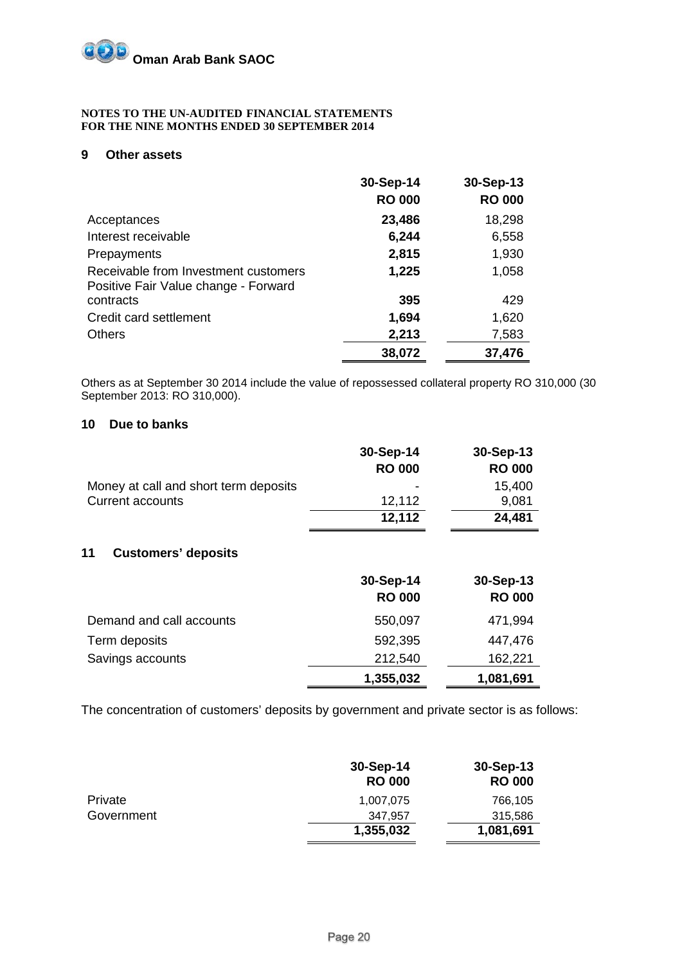#### **9 Other assets**

|                                                                              | 30-Sep-14     | 30-Sep-13     |
|------------------------------------------------------------------------------|---------------|---------------|
|                                                                              | <b>RO 000</b> | <b>RO 000</b> |
| Acceptances                                                                  | 23,486        | 18,298        |
| Interest receivable                                                          | 6,244         | 6,558         |
| Prepayments                                                                  | 2,815         | 1,930         |
| Receivable from Investment customers<br>Positive Fair Value change - Forward | 1,225         | 1,058         |
| contracts                                                                    | 395           | 429           |
| Credit card settlement                                                       | 1,694         | 1,620         |
| <b>Others</b>                                                                | 2,213         | 7,583         |
|                                                                              | 38,072        | 37,476        |

Others as at September 30 2014 include the value of repossessed collateral property RO 310,000 (30 September 2013: RO 310,000).

#### **10 Due to banks**

|                                       | 30-Sep-14     | 30-Sep-13     |
|---------------------------------------|---------------|---------------|
|                                       | <b>RO 000</b> | <b>RO 000</b> |
| Money at call and short term deposits | -             | 15,400        |
| <b>Current accounts</b>               | 12,112        | 9,081         |
|                                       | 12,112        | 24,481        |

#### **11 Customers' deposits**

|                          | 30-Sep-14<br><b>RO 000</b> | 30-Sep-13<br><b>RO 000</b> |
|--------------------------|----------------------------|----------------------------|
| Demand and call accounts | 550,097                    | 471,994                    |
| Term deposits            | 592,395                    | 447,476                    |
| Savings accounts         | 212,540                    | 162,221                    |
|                          | 1,355,032                  | 1,081,691                  |

The concentration of customers' deposits by government and private sector is as follows:

|                | 30-Sep-14<br><b>RO 000</b> | $30-Sep-13$<br><b>RO 000</b> |
|----------------|----------------------------|------------------------------|
| <b>Private</b> | 1,007,075                  | 766,105                      |
| Government     | 347.957                    | 315,586                      |
|                | 1,355,032                  | 1,081,691                    |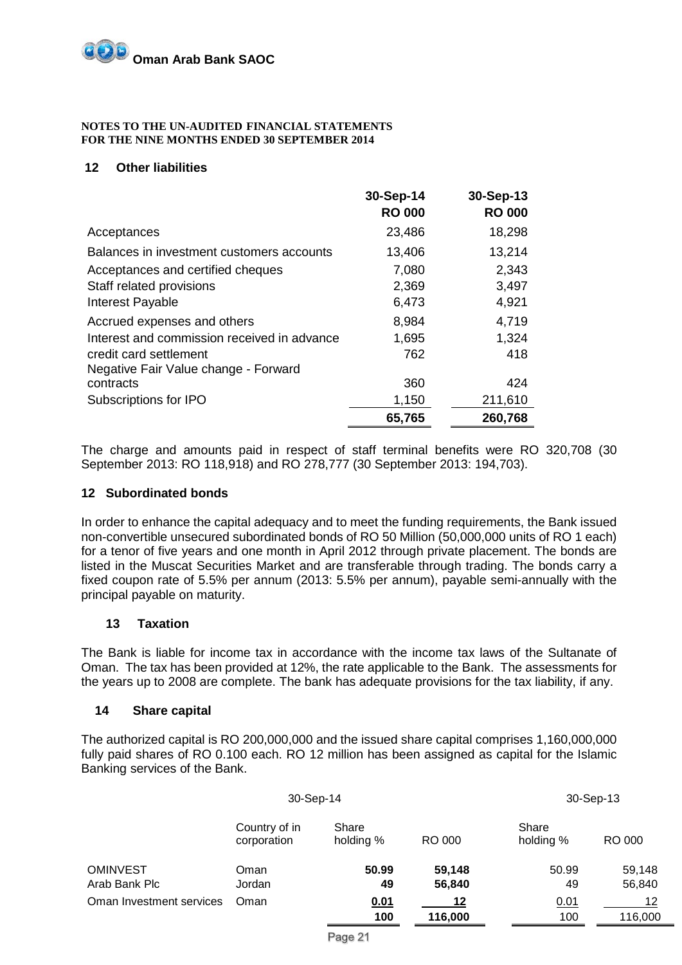#### **12 Other liabilities**

|                                             | 30-Sep-14     | 30-Sep-13     |
|---------------------------------------------|---------------|---------------|
|                                             | <b>RO 000</b> | <b>RO 000</b> |
| Acceptances                                 | 23,486        | 18,298        |
| Balances in investment customers accounts   | 13,406        | 13,214        |
| Acceptances and certified cheques           | 7,080         | 2,343         |
| Staff related provisions                    | 2,369         | 3,497         |
| Interest Payable                            | 6,473         | 4,921         |
| Accrued expenses and others                 | 8,984         | 4,719         |
| Interest and commission received in advance | 1,695         | 1,324         |
| credit card settlement                      | 762           | 418           |
| Negative Fair Value change - Forward        |               |               |
| contracts                                   | 360           | 424           |
| Subscriptions for IPO                       | 1,150         | 211,610       |
|                                             | 65,765        | 260,768       |

The charge and amounts paid in respect of staff terminal benefits were RO 320,708 (30 September 2013: RO 118,918) and RO 278,777 (30 September 2013: 194,703).

#### **12 Subordinated bonds**

In order to enhance the capital adequacy and to meet the funding requirements, the Bank issued non-convertible unsecured subordinated bonds of RO 50 Million (50,000,000 units of RO 1 each) for a tenor of five years and one month in April 2012 through private placement. The bonds are listed in the Muscat Securities Market and are transferable through trading. The bonds carry a fixed coupon rate of 5.5% per annum (2013: 5.5% per annum), payable semi-annually with the principal payable on maturity.

#### **13 Taxation**

The Bank is liable for income tax in accordance with the income tax laws of the Sultanate of Oman. The tax has been provided at 12%, the rate applicable to the Bank. The assessments for the years up to 2008 are complete. The bank has adequate provisions for the tax liability, if any.

#### **14 Share capital**

The authorized capital is RO 200,000,000 and the issued share capital comprises 1,160,000,000 fully paid shares of RO 0.100 each. RO 12 million has been assigned as capital for the Islamic Banking services of the Bank.

|                          | 30-Sep-14                    |                    |         |                    | 30-Sep-13 |
|--------------------------|------------------------------|--------------------|---------|--------------------|-----------|
|                          | Country of in<br>corporation | Share<br>holding % | RO 000  | Share<br>holding % | RO 000    |
| <b>OMINVEST</b>          | Oman                         | 50.99              | 59,148  | 50.99              | 59,148    |
| Arab Bank Plc            | Jordan                       | 49                 | 56,840  | 49                 | 56,840    |
| Oman Investment services | Oman                         | 0.01               | 12      | 0.01               | 12        |
|                          |                              | 100                | 116,000 | 100                | 116,000   |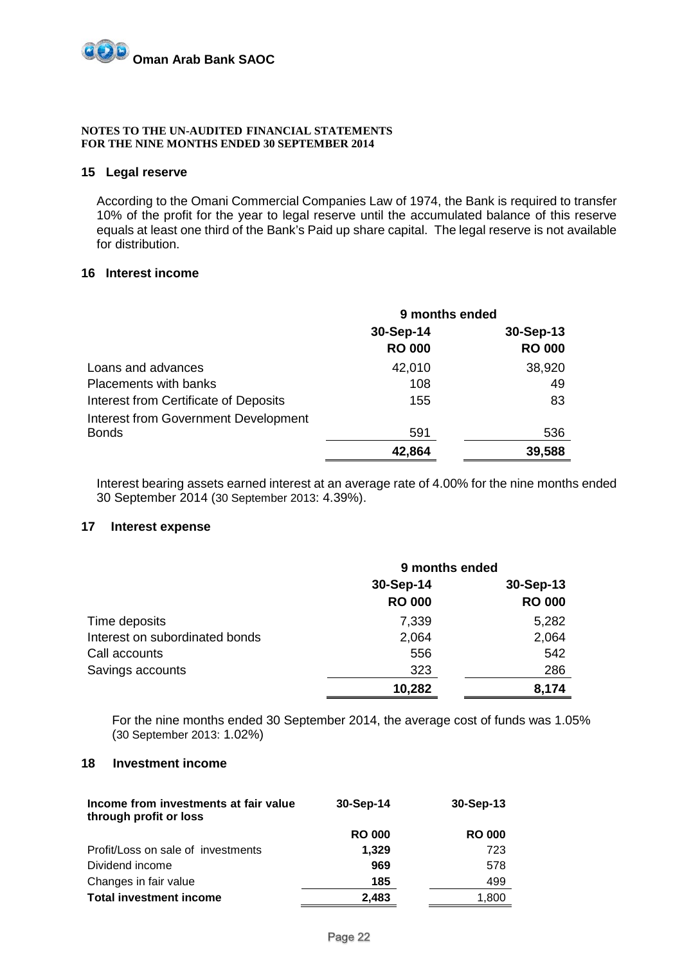

#### **15 Legal reserve**

According to the Omani Commercial Companies Law of 1974, the Bank is required to transfer 10% of the profit for the year to legal reserve until the accumulated balance of this reserve equals at least one third of the Bank's Paid up share capital. The legal reserve is not available for distribution.

#### **16 Interest income**

|                                       | 9 months ended |               |
|---------------------------------------|----------------|---------------|
|                                       | 30-Sep-14      | 30-Sep-13     |
|                                       | <b>RO 000</b>  | <b>RO 000</b> |
| Loans and advances                    | 42,010         | 38,920        |
| Placements with banks                 | 108            | 49            |
| Interest from Certificate of Deposits | 155            | 83            |
| Interest from Government Development  |                |               |
| <b>Bonds</b>                          | 591            | 536           |
|                                       | 42,864         | 39,588        |

Interest bearing assets earned interest at an average rate of 4.00% for the nine months ended 30 September 2014 (30 September 2013: 4.39%).

#### **17 Interest expense**

|                                | 9 months ended             |                            |  |
|--------------------------------|----------------------------|----------------------------|--|
|                                | 30-Sep-14<br><b>RO 000</b> | 30-Sep-13<br><b>RO 000</b> |  |
| Time deposits                  | 7,339                      | 5,282                      |  |
| Interest on subordinated bonds | 2,064                      | 2,064                      |  |
| Call accounts                  | 556                        | 542                        |  |
| Savings accounts               | 323                        | 286                        |  |
|                                | 10,282                     | 8,174                      |  |

For the nine months ended 30 September 2014, the average cost of funds was 1.05% (30 September 2013: 1.02%)

#### **18 Investment income**

| Income from investments at fair value<br>through profit or loss | 30-Sep-14     | $30-Sep-13$   |
|-----------------------------------------------------------------|---------------|---------------|
|                                                                 | <b>RO 000</b> | <b>RO 000</b> |
| Profit/Loss on sale of investments                              | 1,329         | 723           |
| Dividend income                                                 | 969           | 578           |
| Changes in fair value                                           | 185           | 499           |
| <b>Total investment income</b>                                  | 2,483         | 1,800         |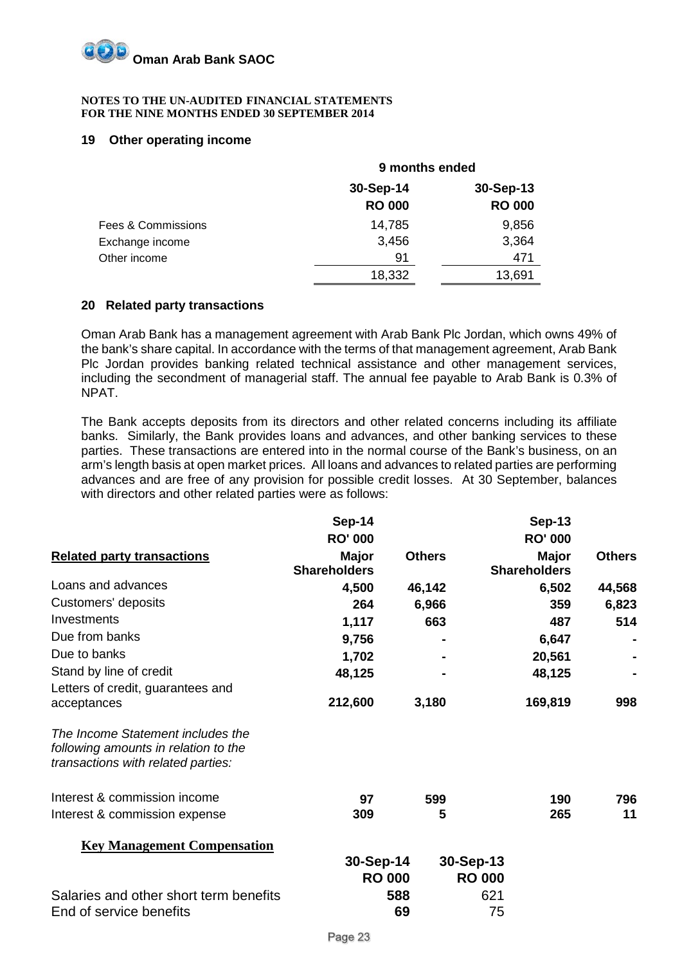

#### **19 Other operating income**

|                    | 9 months ended |               |  |
|--------------------|----------------|---------------|--|
|                    | 30-Sep-14      | 30-Sep-13     |  |
|                    | <b>RO 000</b>  | <b>RO 000</b> |  |
| Fees & Commissions | 14,785         | 9,856         |  |
| Exchange income    | 3,456          | 3,364         |  |
| Other income       | 91             | 471           |  |
|                    | 18,332         | 13,691        |  |

#### **20 Related party transactions**

Oman Arab Bank has a management agreement with Arab Bank Plc Jordan, which owns 49% of the bank's share capital. In accordance with the terms of that management agreement, Arab Bank Plc Jordan provides banking related technical assistance and other management services, including the secondment of managerial staff. The annual fee payable to Arab Bank is 0.3% of NPAT.

The Bank accepts deposits from its directors and other related concerns including its affiliate banks. Similarly, the Bank provides loans and advances, and other banking services to these parties. These transactions are entered into in the normal course of the Bank's business, on an arm's length basis at open market prices. All loans and advances to related parties are performing advances and are free of any provision for possible credit losses. At 30 September, balances with directors and other related parties were as follows:

|                                                                                                                 | Sep-14                              |               | <b>Sep-13</b>                       |               |
|-----------------------------------------------------------------------------------------------------------------|-------------------------------------|---------------|-------------------------------------|---------------|
|                                                                                                                 | <b>RO' 000</b>                      |               | <b>RO' 000</b>                      |               |
| <b>Related party transactions</b>                                                                               | <b>Major</b><br><b>Shareholders</b> | <b>Others</b> | <b>Major</b><br><b>Shareholders</b> | <b>Others</b> |
| Loans and advances                                                                                              | 4,500                               | 46,142        | 6,502                               | 44,568        |
| Customers' deposits                                                                                             | 264                                 | 6,966         | 359                                 | 6,823         |
| Investments                                                                                                     | 1,117                               | 663           | 487                                 | 514           |
| Due from banks                                                                                                  | 9,756                               |               | 6,647                               |               |
| Due to banks                                                                                                    | 1,702                               |               | 20,561                              |               |
| Stand by line of credit                                                                                         | 48,125                              |               | 48,125                              |               |
| Letters of credit, guarantees and<br>acceptances                                                                | 212,600                             | 3,180         | 169,819                             | 998           |
| The Income Statement includes the<br>following amounts in relation to the<br>transactions with related parties: |                                     |               |                                     |               |
| Interest & commission income                                                                                    | 97                                  | 599           | 190                                 | 796           |
| Interest & commission expense                                                                                   | 309                                 | 5             | 265                                 | 11            |
| <b>Key Management Compensation</b>                                                                              |                                     |               |                                     |               |
|                                                                                                                 | 30-Sep-14<br><b>RO 000</b>          |               | 30-Sep-13<br><b>RO 000</b>          |               |
| Salaries and other short term benefits<br>End of service benefits                                               |                                     | 588<br>69     | 621<br>75                           |               |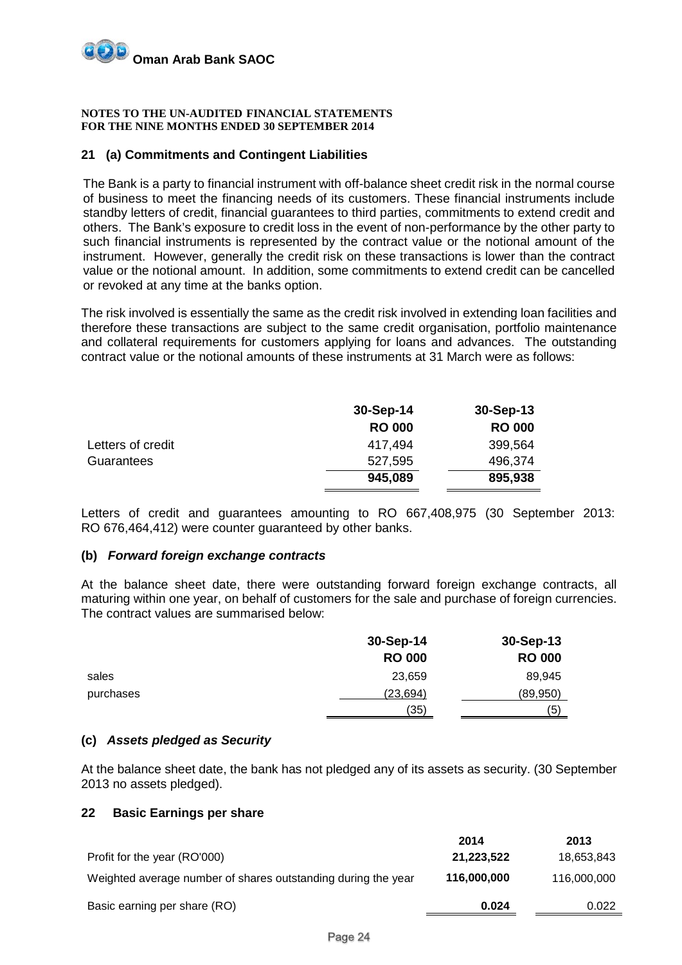

#### **21 (a) Commitments and Contingent Liabilities**

The Bank is a party to financial instrument with off-balance sheet credit risk in the normal course of business to meet the financing needs of its customers. These financial instruments include standby letters of credit, financial guarantees to third parties, commitments to extend credit and others. The Bank's exposure to credit loss in the event of non-performance by the other party to such financial instruments is represented by the contract value or the notional amount of the instrument. However, generally the credit risk on these transactions is lower than the contract value or the notional amount. In addition, some commitments to extend credit can be cancelled or revoked at any time at the banks option.

The risk involved is essentially the same as the credit risk involved in extending loan facilities and therefore these transactions are subject to the same credit organisation, portfolio maintenance and collateral requirements for customers applying for loans and advances. The outstanding contract value or the notional amounts of these instruments at 31 March were as follows:

|                   | 30-Sep-14     | 30-Sep-13     |
|-------------------|---------------|---------------|
|                   | <b>RO 000</b> | <b>RO 000</b> |
| Letters of credit | 417.494       | 399,564       |
| Guarantees        | 527,595       | 496,374       |
|                   | 945,089       | 895,938       |

Letters of credit and guarantees amounting to RO 667,408,975 (30 September 2013: RO 676,464,412) were counter guaranteed by other banks.

#### **(b)** *Forward foreign exchange contracts*

At the balance sheet date, there were outstanding forward foreign exchange contracts, all maturing within one year, on behalf of customers for the sale and purchase of foreign currencies. The contract values are summarised below:

|           | 30-Sep-14     | 30-Sep-13     |
|-----------|---------------|---------------|
|           | <b>RO 000</b> | <b>RO 000</b> |
| sales     | 23,659        | 89,945        |
| purchases | (23, 694)     | (89, 950)     |
|           | (35)          | (5)           |

#### **(c)** *Assets pledged as Security*

At the balance sheet date, the bank has not pledged any of its assets as security. (30 September 2013 no assets pledged).

#### **22 Basic Earnings per share**

| 2014        | 2013        |
|-------------|-------------|
| 21,223,522  | 18,653,843  |
| 116,000,000 | 116,000,000 |
| 0.024       | 0.022       |
|             |             |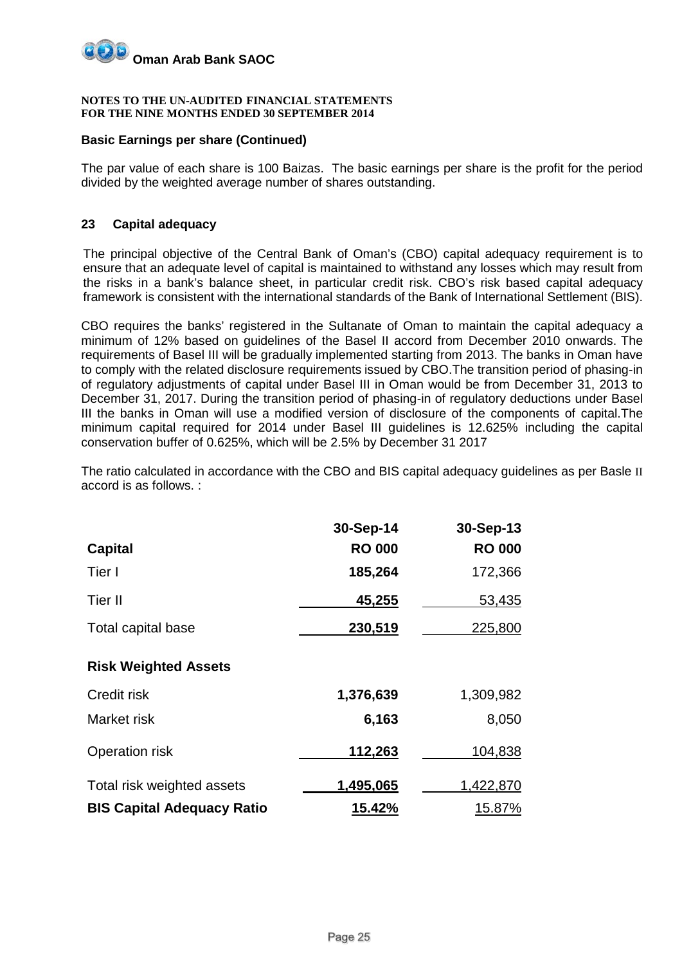

#### **Basic Earnings per share (Continued)**

The par value of each share is 100 Baizas. The basic earnings per share is the profit for the period divided by the weighted average number of shares outstanding.

#### **23 Capital adequacy**

The principal objective of the Central Bank of Oman's (CBO) capital adequacy requirement is to ensure that an adequate level of capital is maintained to withstand any losses which may result from the risks in a bank's balance sheet, in particular credit risk. CBO's risk based capital adequacy framework is consistent with the international standards of the Bank of International Settlement (BIS).

CBO requires the banks' registered in the Sultanate of Oman to maintain the capital adequacy a minimum of 12% based on guidelines of the Basel II accord from December 2010 onwards. The requirements of Basel III will be gradually implemented starting from 2013. The banks in Oman have to comply with the related disclosure requirements issued by CBO.The transition period of phasing-in of regulatory adjustments of capital under Basel III in Oman would be from December 31, 2013 to December 31, 2017. During the transition period of phasing-in of regulatory deductions under Basel III the banks in Oman will use a modified version of disclosure of the components of capital.The minimum capital required for 2014 under Basel III guidelines is 12.625% including the capital conservation buffer of 0.625%, which will be 2.5% by December 31 2017

The ratio calculated in accordance with the CBO and BIS capital adequacy guidelines as per Basle II accord is as follows. :

|                                   | 30-Sep-14     | 30-Sep-13     |
|-----------------------------------|---------------|---------------|
| <b>Capital</b>                    | <b>RO 000</b> | <b>RO 000</b> |
| Tier I                            | 185,264       | 172,366       |
| Tier II                           | <u>45,255</u> | 53,435        |
| Total capital base                | 230,519       | 225,800       |
| <b>Risk Weighted Assets</b>       |               |               |
| Credit risk                       | 1,376,639     | 1,309,982     |
| Market risk                       | 6,163         | 8,050         |
| Operation risk                    | 112,263       | 104,838       |
| Total risk weighted assets        | 1,495,065     | 1,422,870     |
| <b>BIS Capital Adequacy Ratio</b> | 15.42%        | 15.87%        |